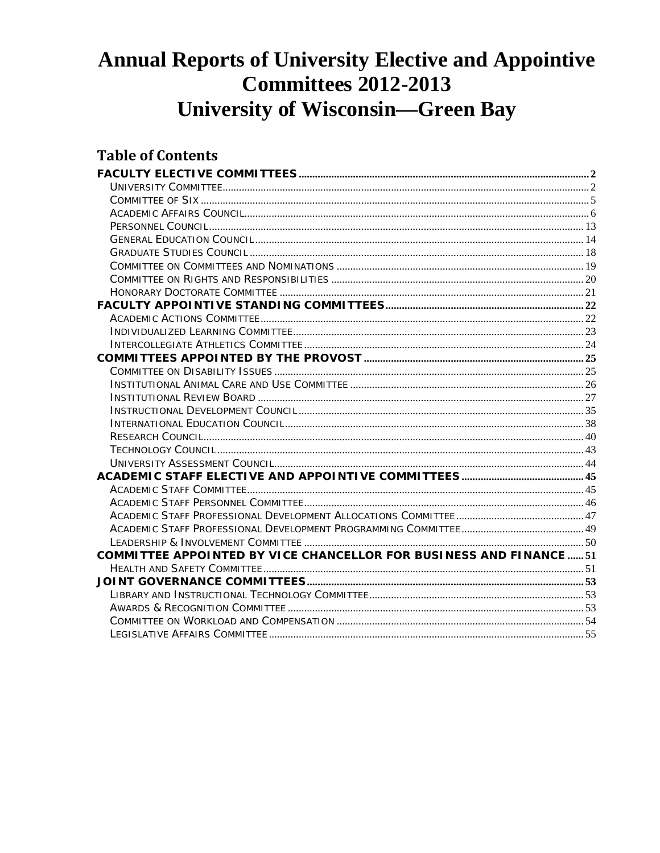# **Annual Reports of University Elective and Appointive Committees 2012-2013 University of Wisconsin-Green Bay**

# **Table of Contents**

| COMMITTEE APPOINTED BY VICE CHANCELLOR FOR BUSINESS AND FINANCE  51 |  |
|---------------------------------------------------------------------|--|
|                                                                     |  |
|                                                                     |  |
|                                                                     |  |
|                                                                     |  |
|                                                                     |  |
|                                                                     |  |
|                                                                     |  |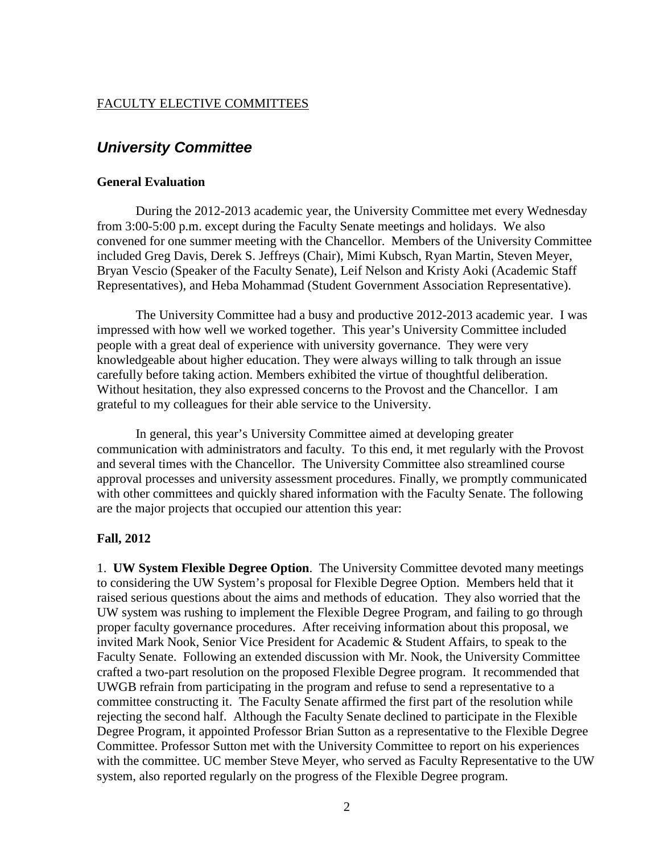#### <span id="page-1-0"></span>FACULTY ELECTIVE COMMITTEES

### <span id="page-1-1"></span>*University Committee*

#### **General Evaluation**

During the 2012-2013 academic year, the University Committee met every Wednesday from 3:00-5:00 p.m. except during the Faculty Senate meetings and holidays. We also convened for one summer meeting with the Chancellor. Members of the University Committee included Greg Davis, Derek S. Jeffreys (Chair), Mimi Kubsch, Ryan Martin, Steven Meyer, Bryan Vescio (Speaker of the Faculty Senate), Leif Nelson and Kristy Aoki (Academic Staff Representatives), and Heba Mohammad (Student Government Association Representative).

The University Committee had a busy and productive 2012-2013 academic year. I was impressed with how well we worked together. This year's University Committee included people with a great deal of experience with university governance. They were very knowledgeable about higher education. They were always willing to talk through an issue carefully before taking action. Members exhibited the virtue of thoughtful deliberation. Without hesitation, they also expressed concerns to the Provost and the Chancellor. I am grateful to my colleagues for their able service to the University.

In general, this year's University Committee aimed at developing greater communication with administrators and faculty. To this end, it met regularly with the Provost and several times with the Chancellor. The University Committee also streamlined course approval processes and university assessment procedures. Finally, we promptly communicated with other committees and quickly shared information with the Faculty Senate. The following are the major projects that occupied our attention this year:

#### **Fall, 2012**

1. **UW System Flexible Degree Option**. The University Committee devoted many meetings to considering the UW System's proposal for Flexible Degree Option. Members held that it raised serious questions about the aims and methods of education. They also worried that the UW system was rushing to implement the Flexible Degree Program, and failing to go through proper faculty governance procedures. After receiving information about this proposal, we invited Mark Nook, Senior Vice President for Academic & Student Affairs, to speak to the Faculty Senate. Following an extended discussion with Mr. Nook, the University Committee crafted a two-part resolution on the proposed Flexible Degree program. It recommended that UWGB refrain from participating in the program and refuse to send a representative to a committee constructing it. The Faculty Senate affirmed the first part of the resolution while rejecting the second half. Although the Faculty Senate declined to participate in the Flexible Degree Program, it appointed Professor Brian Sutton as a representative to the Flexible Degree Committee. Professor Sutton met with the University Committee to report on his experiences with the committee. UC member Steve Meyer, who served as Faculty Representative to the UW system, also reported regularly on the progress of the Flexible Degree program.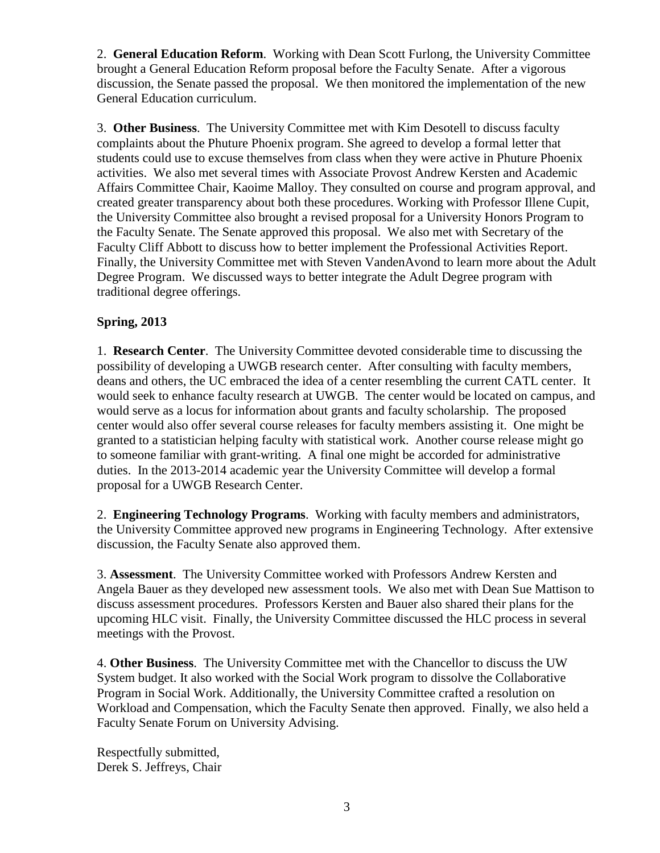2. **General Education Reform**. Working with Dean Scott Furlong, the University Committee brought a General Education Reform proposal before the Faculty Senate. After a vigorous discussion, the Senate passed the proposal. We then monitored the implementation of the new General Education curriculum.

3. **Other Business**. The University Committee met with Kim Desotell to discuss faculty complaints about the Phuture Phoenix program. She agreed to develop a formal letter that students could use to excuse themselves from class when they were active in Phuture Phoenix activities. We also met several times with Associate Provost Andrew Kersten and Academic Affairs Committee Chair, Kaoime Malloy. They consulted on course and program approval, and created greater transparency about both these procedures. Working with Professor Illene Cupit, the University Committee also brought a revised proposal for a University Honors Program to the Faculty Senate. The Senate approved this proposal. We also met with Secretary of the Faculty Cliff Abbott to discuss how to better implement the Professional Activities Report. Finally, the University Committee met with Steven VandenAvond to learn more about the Adult Degree Program. We discussed ways to better integrate the Adult Degree program with traditional degree offerings.

### **Spring, 2013**

1. **Research Center**. The University Committee devoted considerable time to discussing the possibility of developing a UWGB research center. After consulting with faculty members, deans and others, the UC embraced the idea of a center resembling the current CATL center. It would seek to enhance faculty research at UWGB. The center would be located on campus, and would serve as a locus for information about grants and faculty scholarship. The proposed center would also offer several course releases for faculty members assisting it. One might be granted to a statistician helping faculty with statistical work. Another course release might go to someone familiar with grant-writing. A final one might be accorded for administrative duties. In the 2013-2014 academic year the University Committee will develop a formal proposal for a UWGB Research Center.

2. **Engineering Technology Programs**. Working with faculty members and administrators, the University Committee approved new programs in Engineering Technology. After extensive discussion, the Faculty Senate also approved them.

3. **Assessment**. The University Committee worked with Professors Andrew Kersten and Angela Bauer as they developed new assessment tools. We also met with Dean Sue Mattison to discuss assessment procedures. Professors Kersten and Bauer also shared their plans for the upcoming HLC visit. Finally, the University Committee discussed the HLC process in several meetings with the Provost.

4. **Other Business**. The University Committee met with the Chancellor to discuss the UW System budget. It also worked with the Social Work program to dissolve the Collaborative Program in Social Work. Additionally, the University Committee crafted a resolution on Workload and Compensation, which the Faculty Senate then approved. Finally, we also held a Faculty Senate Forum on University Advising.

Respectfully submitted, Derek S. Jeffreys, Chair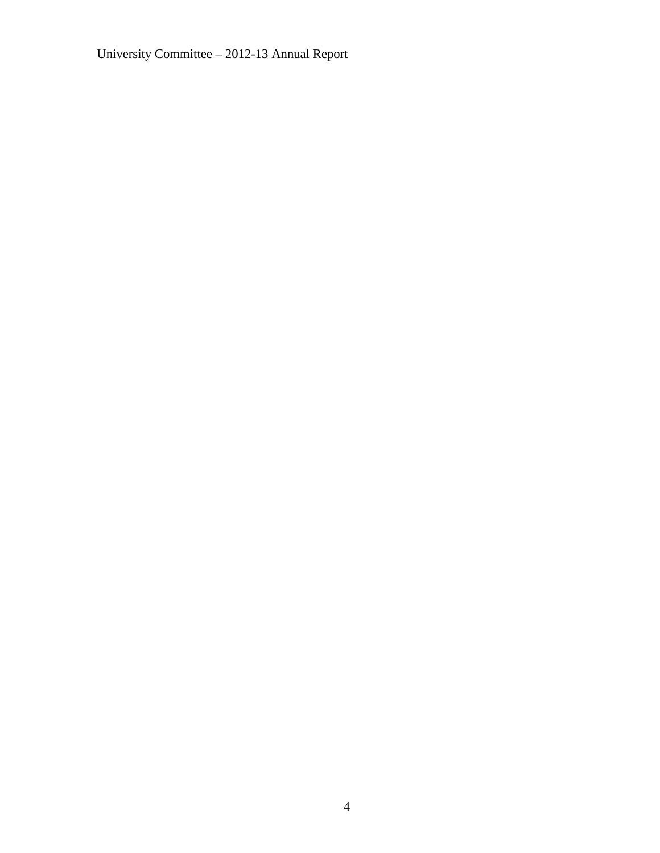University Committee – 2012-13 Annual Report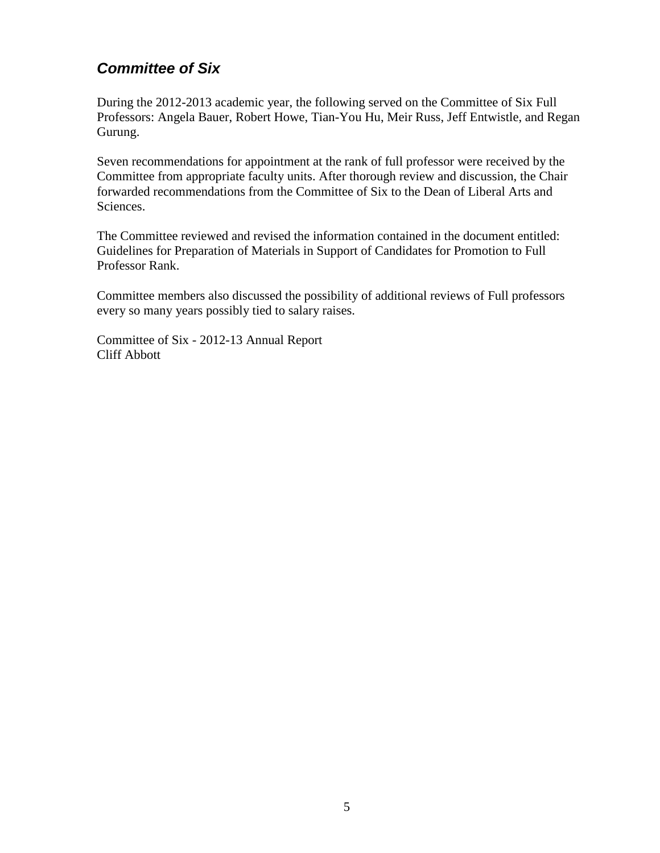# <span id="page-4-0"></span>*Committee of Six*

During the 2012-2013 academic year, the following served on the Committee of Six Full Professors: Angela Bauer, Robert Howe, Tian-You Hu, Meir Russ, Jeff Entwistle, and Regan Gurung.

Seven recommendations for appointment at the rank of full professor were received by the Committee from appropriate faculty units. After thorough review and discussion, the Chair forwarded recommendations from the Committee of Six to the Dean of Liberal Arts and Sciences.

The Committee reviewed and revised the information contained in the document entitled: Guidelines for Preparation of Materials in Support of Candidates for Promotion to Full Professor Rank.

Committee members also discussed the possibility of additional reviews of Full professors every so many years possibly tied to salary raises.

Committee of Six - 2012-13 Annual Report Cliff Abbott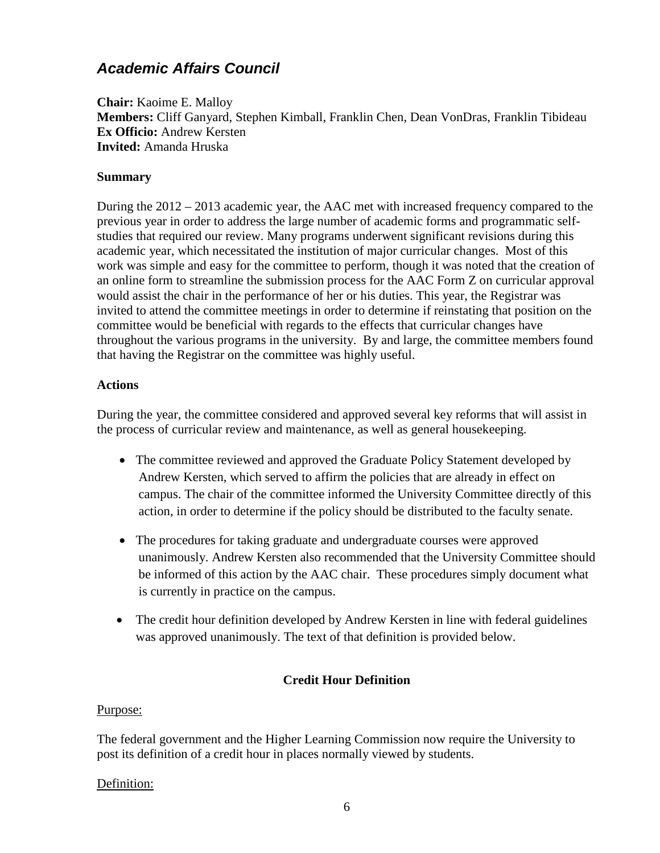### <span id="page-5-0"></span>*Academic Affairs Council*

**Chair:** Kaoime E. Malloy **Members:** Cliff Ganyard, Stephen Kimball, Franklin Chen, Dean VonDras, Franklin Tibideau **Ex Officio:** Andrew Kersten **Invited:** Amanda Hruska

### **Summary**

During the 2012 – 2013 academic year, the AAC met with increased frequency compared to the previous year in order to address the large number of academic forms and programmatic selfstudies that required our review. Many programs underwent significant revisions during this academic year, which necessitated the institution of major curricular changes. Most of this work was simple and easy for the committee to perform, though it was noted that the creation of an online form to streamline the submission process for the AAC Form Z on curricular approval would assist the chair in the performance of her or his duties. This year, the Registrar was invited to attend the committee meetings in order to determine if reinstating that position on the committee would be beneficial with regards to the effects that curricular changes have throughout the various programs in the university. By and large, the committee members found that having the Registrar on the committee was highly useful.

### **Actions**

During the year, the committee considered and approved several key reforms that will assist in the process of curricular review and maintenance, as well as general housekeeping.

- The committee reviewed and approved the Graduate Policy Statement developed by Andrew Kersten, which served to affirm the policies that are already in effect on campus. The chair of the committee informed the University Committee directly of this action, in order to determine if the policy should be distributed to the faculty senate.
- The procedures for taking graduate and undergraduate courses were approved unanimously. Andrew Kersten also recommended that the University Committee should be informed of this action by the AAC chair. These procedures simply document what is currently in practice on the campus.
- The credit hour definition developed by Andrew Kersten in line with federal guidelines was approved unanimously. The text of that definition is provided below.

### **Credit Hour Definition**

#### Purpose:

The federal government and the Higher Learning Commission now require the University to post its definition of a credit hour in places normally viewed by students.

### Definition: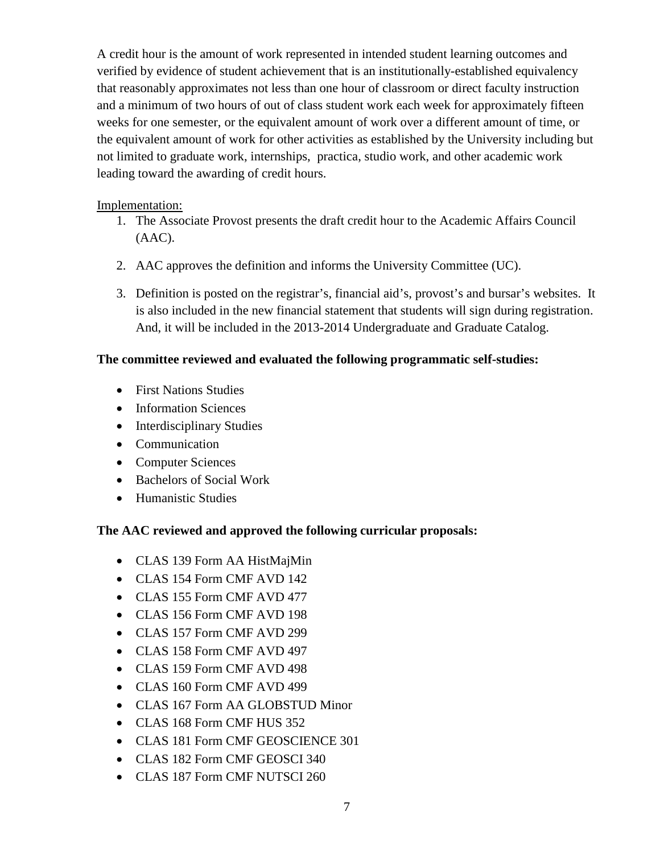A credit hour is the amount of work represented in intended student learning outcomes and verified by evidence of student achievement that is an institutionally-established equivalency that reasonably approximates not less than one hour of classroom or direct faculty instruction and a minimum of two hours of out of class student work each week for approximately fifteen weeks for one semester, or the equivalent amount of work over a different amount of time, or the equivalent amount of work for other activities as established by the University including but not limited to graduate work, internships, practica, studio work, and other academic work leading toward the awarding of credit hours.

### Implementation:

- 1. The Associate Provost presents the draft credit hour to the Academic Affairs Council (AAC).
- 2. AAC approves the definition and informs the University Committee (UC).
- 3. Definition is posted on the registrar's, financial aid's, provost's and bursar's websites. It is also included in the new financial statement that students will sign during registration. And, it will be included in the 2013-2014 Undergraduate and Graduate Catalog.

### **The committee reviewed and evaluated the following programmatic self-studies:**

- First Nations Studies
- Information Sciences
- Interdisciplinary Studies
- Communication
- Computer Sciences
- Bachelors of Social Work
- Humanistic Studies

### **The AAC reviewed and approved the following curricular proposals:**

- CLAS 139 Form AA HistMajMin
- CLAS 154 Form CMF AVD 142
- CLAS 155 Form CMF AVD 477
- CLAS 156 Form CMF AVD 198
- CLAS 157 Form CMF AVD 299
- CLAS 158 Form CMF AVD 497
- CLAS 159 Form CMF AVD 498
- CLAS 160 Form CMF AVD 499
- CLAS 167 Form AA GLOBSTUD Minor
- CLAS 168 Form CMF HUS 352
- CLAS 181 Form CMF GEOSCIENCE 301
- CLAS 182 Form CMF GEOSCI 340
- CLAS 187 Form CMF NUTSCI 260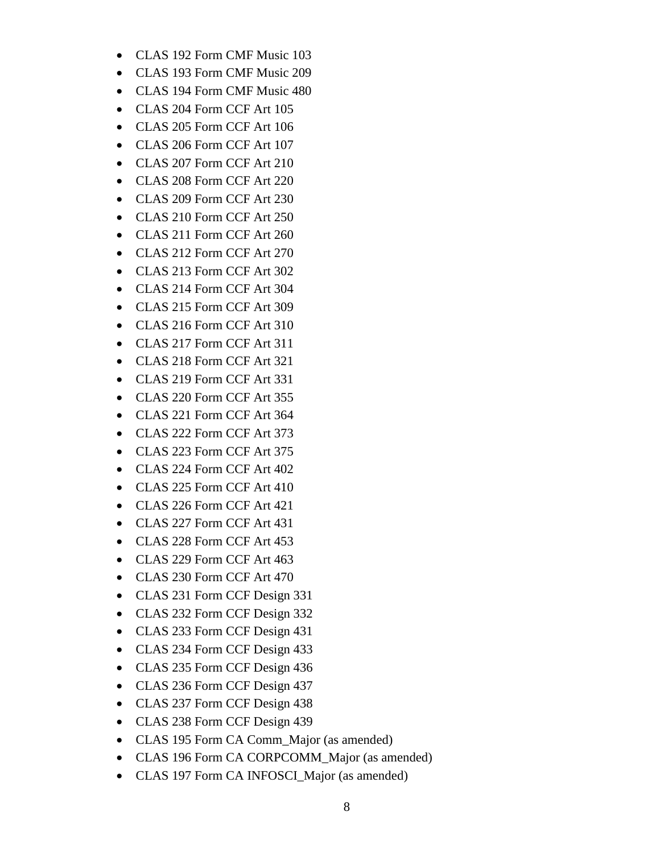- CLAS 192 Form CMF Music 103
- CLAS 193 Form CMF Music 209
- CLAS 194 Form CMF Music 480
- CLAS 204 Form CCF Art 105
- CLAS 205 Form CCF Art 106
- CLAS 206 Form CCF Art 107
- CLAS 207 Form CCF Art 210
- CLAS 208 Form CCF Art 220
- CLAS 209 Form CCF Art 230
- CLAS 210 Form CCF Art 250
- CLAS 211 Form CCF Art 260
- CLAS 212 Form CCF Art 270
- CLAS 213 Form CCF Art 302
- CLAS 214 Form CCF Art 304
- CLAS 215 Form CCF Art 309
- CLAS 216 Form CCF Art 310
- CLAS 217 Form CCF Art 311
- CLAS 218 Form CCF Art 321
- CLAS 219 Form CCF Art 331
- CLAS 220 Form CCF Art 355
- CLAS 221 Form CCF Art 364
- CLAS 222 Form CCF Art 373
- CLAS 223 Form CCF Art 375
- CLAS 224 Form CCF Art 402
- CLAS 225 Form CCF Art 410
- CLAS 226 Form CCF Art 421
- CLAS 227 Form CCF Art 431
- CLAS 228 Form CCF Art 453
- CLAS 229 Form CCF Art 463
- CLAS 230 Form CCF Art 470
- CLAS 231 Form CCF Design 331
- CLAS 232 Form CCF Design 332
- CLAS 233 Form CCF Design 431
- CLAS 234 Form CCF Design 433
- CLAS 235 Form CCF Design 436
- CLAS 236 Form CCF Design 437
- CLAS 237 Form CCF Design 438
- CLAS 238 Form CCF Design 439
- CLAS 195 Form CA Comm\_Major (as amended)
- CLAS 196 Form CA CORPCOMM\_Major (as amended)
- CLAS 197 Form CA INFOSCI\_Major (as amended)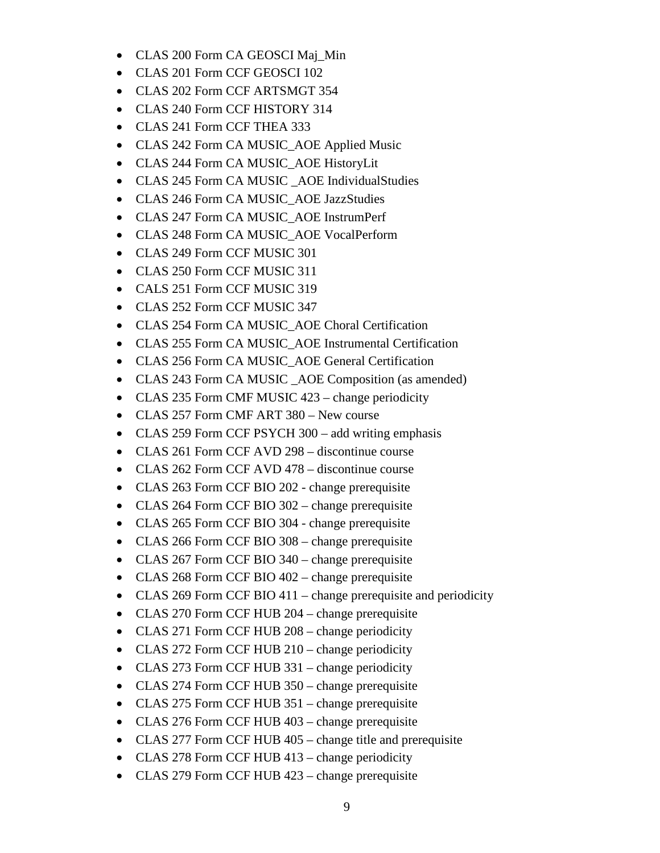- CLAS 200 Form CA GEOSCI Maj\_Min
- CLAS 201 Form CCF GEOSCI 102
- CLAS 202 Form CCF ARTSMGT 354
- CLAS 240 Form CCF HISTORY 314
- CLAS 241 Form CCF THEA 333
- CLAS 242 Form CA MUSIC\_AOE Applied Music
- CLAS 244 Form CA MUSIC\_AOE HistoryLit
- CLAS 245 Form CA MUSIC \_AOE IndividualStudies
- CLAS 246 Form CA MUSIC\_AOE JazzStudies
- CLAS 247 Form CA MUSIC\_AOE InstrumPerf
- CLAS 248 Form CA MUSIC\_AOE VocalPerform
- CLAS 249 Form CCF MUSIC 301
- CLAS 250 Form CCF MUSIC 311
- CALS 251 Form CCF MUSIC 319
- CLAS 252 Form CCF MUSIC 347
- CLAS 254 Form CA MUSIC AOE Choral Certification
- CLAS 255 Form CA MUSIC\_AOE Instrumental Certification
- CLAS 256 Form CA MUSIC\_AOE General Certification
- CLAS 243 Form CA MUSIC \_AOE Composition (as amended)
- CLAS 235 Form CMF MUSIC 423 change periodicity
- CLAS 257 Form CMF ART 380 New course
- CLAS 259 Form CCF PSYCH 300 add writing emphasis
- CLAS 261 Form CCF AVD 298 discontinue course
- CLAS 262 Form CCF AVD 478 discontinue course
- CLAS 263 Form CCF BIO 202 change prerequisite
- CLAS 264 Form CCF BIO 302 change prerequisite
- CLAS 265 Form CCF BIO 304 change prerequisite
- CLAS 266 Form CCF BIO 308 change prerequisite
- CLAS 267 Form CCF BIO 340 change prerequisite
- CLAS 268 Form CCF BIO 402 change prerequisite
- CLAS 269 Form CCF BIO 411 change prerequisite and periodicity
- CLAS 270 Form CCF HUB 204 change prerequisite
- CLAS 271 Form CCF HUB 208 change periodicity
- CLAS 272 Form CCF HUB 210 change periodicity
- CLAS 273 Form CCF HUB 331 change periodicity
- CLAS 274 Form CCF HUB 350 change prerequisite
- CLAS 275 Form CCF HUB 351 change prerequisite
- CLAS 276 Form CCF HUB 403 change prerequisite
- CLAS 277 Form CCF HUB 405 change title and prerequisite
- CLAS 278 Form CCF HUB 413 change periodicity
- CLAS 279 Form CCF HUB 423 change prerequisite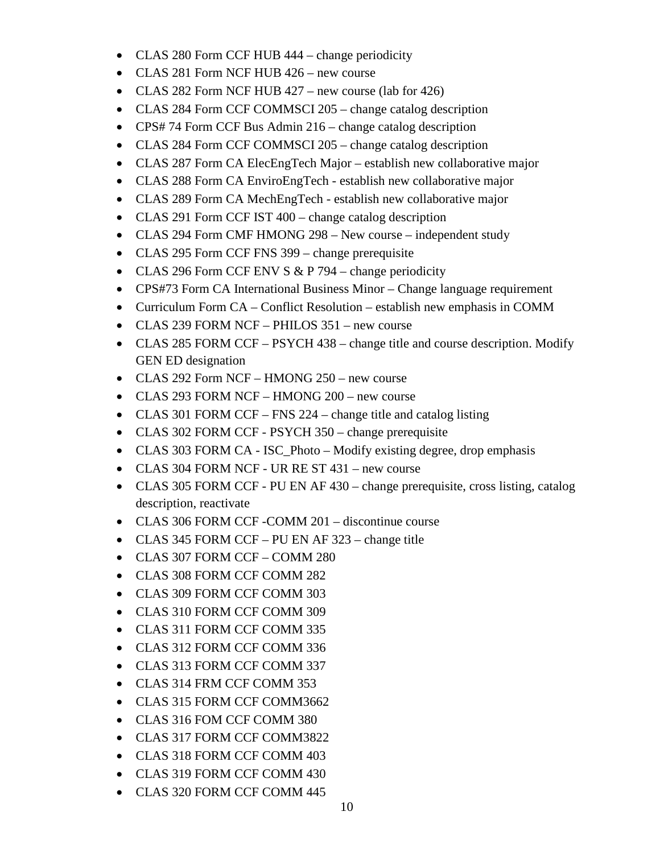- CLAS 280 Form CCF HUB 444 change periodicity
- CLAS 281 Form NCF HUB 426 new course
- CLAS 282 Form NCF HUB 427 new course (lab for 426)
- CLAS 284 Form CCF COMMSCI 205 change catalog description
- CPS# 74 Form CCF Bus Admin 216 change catalog description
- CLAS 284 Form CCF COMMSCI 205 change catalog description
- CLAS 287 Form CA ElecEngTech Major establish new collaborative major
- CLAS 288 Form CA EnviroEngTech establish new collaborative major
- CLAS 289 Form CA MechEngTech establish new collaborative major
- CLAS 291 Form CCF IST 400 change catalog description
- CLAS 294 Form CMF HMONG 298 New course independent study
- CLAS 295 Form CCF FNS 399 change prerequisite
- CLAS 296 Form CCF ENV S  $&$  P 794 change periodicity
- CPS#73 Form CA International Business Minor Change language requirement
- Curriculum Form CA Conflict Resolution establish new emphasis in COMM
- CLAS 239 FORM NCF PHILOS 351 new course
- CLAS 285 FORM CCF PSYCH 438 change title and course description. Modify GEN ED designation
- CLAS 292 Form NCF HMONG 250 new course
- CLAS 293 FORM NCF HMONG 200 new course
- CLAS 301 FORM CCF FNS 224 change title and catalog listing
- CLAS 302 FORM CCF PSYCH 350 change prerequisite
- CLAS 303 FORM CA ISC Photo Modify existing degree, drop emphasis
- CLAS 304 FORM NCF UR RE ST 431 new course
- CLAS 305 FORM CCF PU EN AF 430 change prerequisite, cross listing, catalog description, reactivate
- CLAS 306 FORM CCF -COMM 201 discontinue course
- CLAS 345 FORM CCF PU EN AF 323 change title
- CLAS 307 FORM CCF COMM 280
- CLAS 308 FORM CCF COMM 282
- CLAS 309 FORM CCF COMM 303
- CLAS 310 FORM CCF COMM 309
- CLAS 311 FORM CCF COMM 335
- CLAS 312 FORM CCF COMM 336
- CLAS 313 FORM CCF COMM 337
- CLAS 314 FRM CCF COMM 353
- CLAS 315 FORM CCF COMM3662
- CLAS 316 FOM CCF COMM 380
- CLAS 317 FORM CCF COMM3822
- CLAS 318 FORM CCF COMM 403
- CLAS 319 FORM CCF COMM 430
- CLAS 320 FORM CCF COMM 445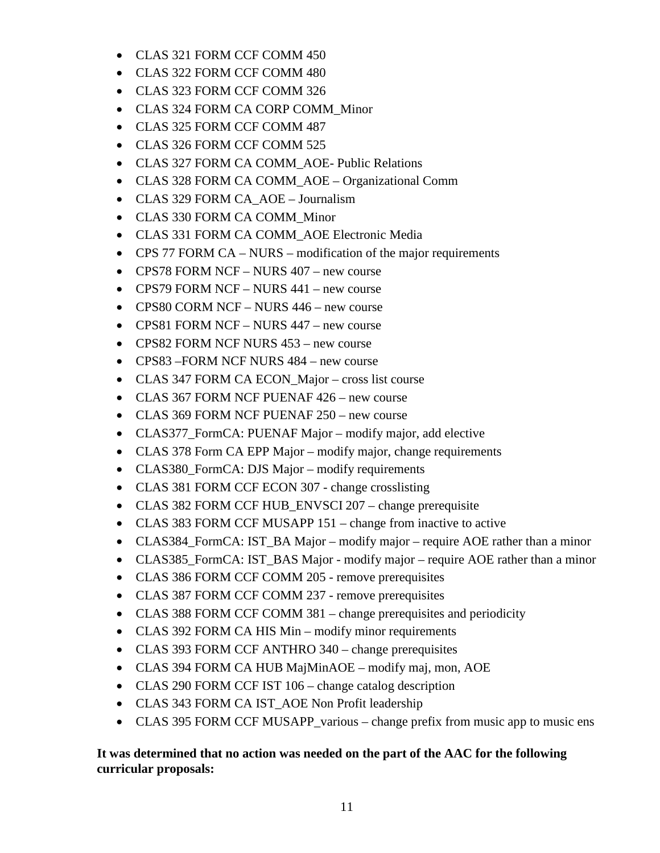- CLAS 321 FORM CCF COMM 450
- CLAS 322 FORM CCF COMM 480
- CLAS 323 FORM CCF COMM 326
- CLAS 324 FORM CA CORP COMM\_Minor
- CLAS 325 FORM CCF COMM 487
- CLAS 326 FORM CCF COMM 525
- CLAS 327 FORM CA COMM\_AOE- Public Relations
- CLAS 328 FORM CA COMM\_AOE Organizational Comm
- CLAS 329 FORM CA\_AOE Journalism
- CLAS 330 FORM CA COMM\_Minor
- CLAS 331 FORM CA COMM\_AOE Electronic Media
- CPS 77 FORM CA NURS modification of the major requirements
- CPS78 FORM NCF NURS 407 new course
- CPS79 FORM NCF NURS 441 new course
- CPS80 CORM NCF NURS 446 new course
- CPS81 FORM NCF NURS 447 new course
- CPS82 FORM NCF NURS 453 new course
- CPS83 FORM NCF NURS 484 new course
- CLAS 347 FORM CA ECON\_Major cross list course
- CLAS 367 FORM NCF PUENAF 426 new course
- CLAS 369 FORM NCF PUENAF 250 new course
- CLAS377 FormCA: PUENAF Major modify major, add elective
- CLAS 378 Form CA EPP Major modify major, change requirements
- CLAS380\_FormCA: DJS Major modify requirements
- CLAS 381 FORM CCF ECON 307 change crosslisting
- CLAS 382 FORM CCF HUB\_ENVSCI 207 change prerequisite
- CLAS 383 FORM CCF MUSAPP 151 change from inactive to active
- CLAS384\_FormCA: IST\_BA Major modify major require AOE rather than a minor
- CLAS385\_FormCA: IST\_BAS Major modify major require AOE rather than a minor
- CLAS 386 FORM CCF COMM 205 remove prerequisites
- CLAS 387 FORM CCF COMM 237 remove prerequisites
- CLAS 388 FORM CCF COMM 381 change prerequisites and periodicity
- CLAS 392 FORM CA HIS Min modify minor requirements
- CLAS 393 FORM CCF ANTHRO 340 change prerequisites
- CLAS 394 FORM CA HUB MajMinAOE modify maj, mon, AOE
- CLAS 290 FORM CCF IST 106 change catalog description
- CLAS 343 FORM CA IST\_AOE Non Profit leadership
- CLAS 395 FORM CCF MUSAPP\_various change prefix from music app to music ens

### **It was determined that no action was needed on the part of the AAC for the following curricular proposals:**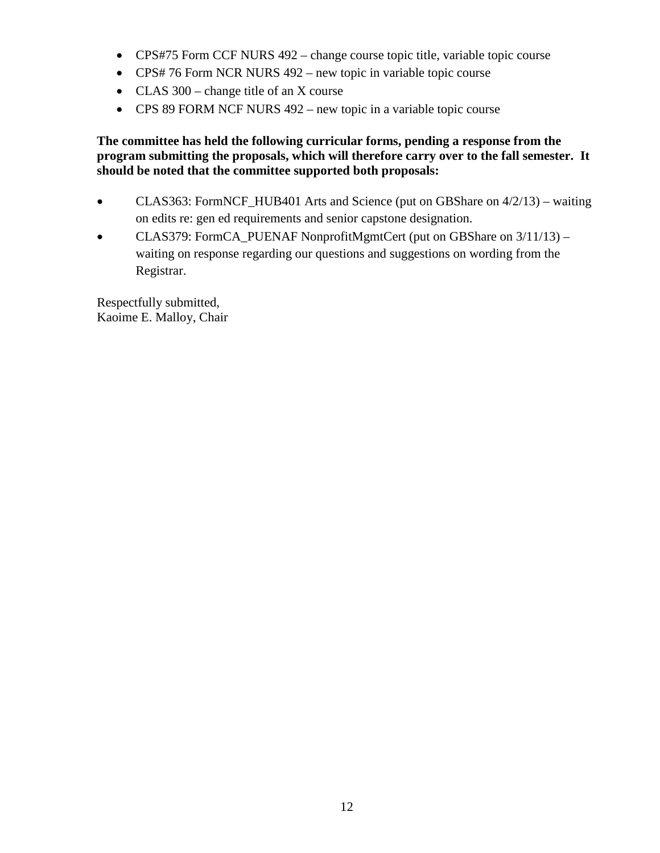- CPS#75 Form CCF NURS 492 change course topic title, variable topic course
- CPS# 76 Form NCR NURS 492 new topic in variable topic course
- CLAS 300 change title of an X course
- CPS 89 FORM NCF NURS 492 new topic in a variable topic course

**The committee has held the following curricular forms, pending a response from the program submitting the proposals, which will therefore carry over to the fall semester. It should be noted that the committee supported both proposals:**

- CLAS363: FormNCF\_HUB401 Arts and Science (put on GBShare on  $4/2/13$ ) waiting on edits re: gen ed requirements and senior capstone designation.
- CLAS379: FormCA\_PUENAF NonprofitMgmtCert (put on GBShare on 3/11/13) waiting on response regarding our questions and suggestions on wording from the Registrar.

Respectfully submitted, Kaoime E. Malloy, Chair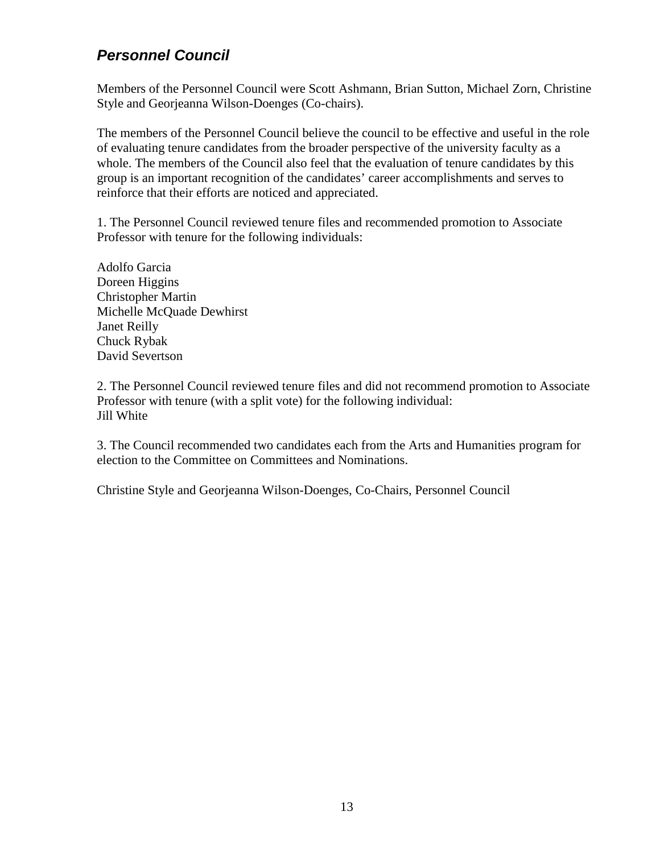# <span id="page-12-0"></span>*Personnel Council*

Members of the Personnel Council were Scott Ashmann, Brian Sutton, Michael Zorn, Christine Style and Georjeanna Wilson-Doenges (Co-chairs).

The members of the Personnel Council believe the council to be effective and useful in the role of evaluating tenure candidates from the broader perspective of the university faculty as a whole. The members of the Council also feel that the evaluation of tenure candidates by this group is an important recognition of the candidates' career accomplishments and serves to reinforce that their efforts are noticed and appreciated.

1. The Personnel Council reviewed tenure files and recommended promotion to Associate Professor with tenure for the following individuals:

Adolfo Garcia Doreen Higgins Christopher Martin Michelle McQuade Dewhirst Janet Reilly Chuck Rybak David Severtson

2. The Personnel Council reviewed tenure files and did not recommend promotion to Associate Professor with tenure (with a split vote) for the following individual: Jill White

3. The Council recommended two candidates each from the Arts and Humanities program for election to the Committee on Committees and Nominations.

Christine Style and Georjeanna Wilson-Doenges, Co-Chairs, Personnel Council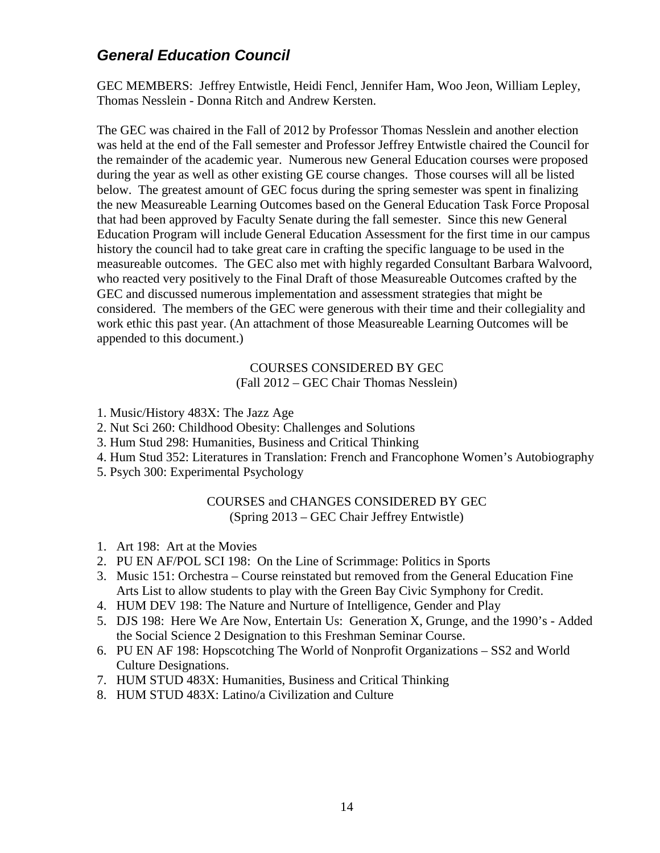### <span id="page-13-0"></span>*General Education Council*

GEC MEMBERS: Jeffrey Entwistle, Heidi Fencl, Jennifer Ham, Woo Jeon, William Lepley, Thomas Nesslein - Donna Ritch and Andrew Kersten.

The GEC was chaired in the Fall of 2012 by Professor Thomas Nesslein and another election was held at the end of the Fall semester and Professor Jeffrey Entwistle chaired the Council for the remainder of the academic year. Numerous new General Education courses were proposed during the year as well as other existing GE course changes. Those courses will all be listed below. The greatest amount of GEC focus during the spring semester was spent in finalizing the new Measureable Learning Outcomes based on the General Education Task Force Proposal that had been approved by Faculty Senate during the fall semester. Since this new General Education Program will include General Education Assessment for the first time in our campus history the council had to take great care in crafting the specific language to be used in the measureable outcomes. The GEC also met with highly regarded Consultant Barbara Walvoord, who reacted very positively to the Final Draft of those Measureable Outcomes crafted by the GEC and discussed numerous implementation and assessment strategies that might be considered. The members of the GEC were generous with their time and their collegiality and work ethic this past year. (An attachment of those Measureable Learning Outcomes will be appended to this document.)

### COURSES CONSIDERED BY GEC

(Fall 2012 – GEC Chair Thomas Nesslein)

- 1. Music/History 483X: The Jazz Age
- 2. Nut Sci 260: Childhood Obesity: Challenges and Solutions
- 3. Hum Stud 298: Humanities, Business and Critical Thinking
- 4. Hum Stud 352: Literatures in Translation: French and Francophone Women's Autobiography
- 5. Psych 300: Experimental Psychology

### COURSES and CHANGES CONSIDERED BY GEC (Spring 2013 – GEC Chair Jeffrey Entwistle)

- 1. Art 198: Art at the Movies
- 2. PU EN AF/POL SCI 198: On the Line of Scrimmage: Politics in Sports
- 3. Music 151: Orchestra Course reinstated but removed from the General Education Fine Arts List to allow students to play with the Green Bay Civic Symphony for Credit.
- 4. HUM DEV 198: The Nature and Nurture of Intelligence, Gender and Play
- 5. DJS 198: Here We Are Now, Entertain Us: Generation X, Grunge, and the 1990's Added the Social Science 2 Designation to this Freshman Seminar Course.
- 6. PU EN AF 198: Hopscotching The World of Nonprofit Organizations SS2 and World Culture Designations.
- 7. HUM STUD 483X: Humanities, Business and Critical Thinking
- 8. HUM STUD 483X: Latino/a Civilization and Culture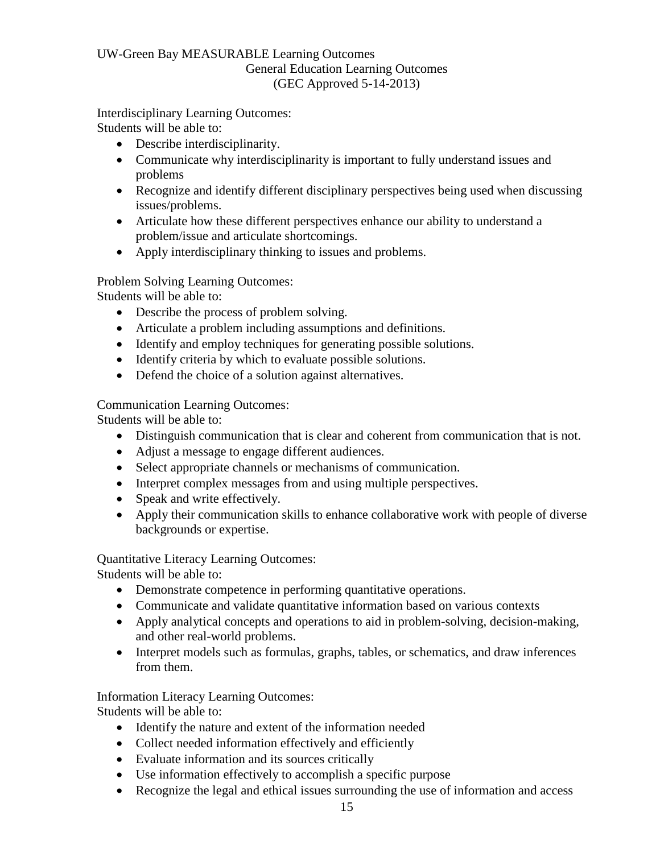### UW-Green Bay MEASURABLE Learning Outcomes General Education Learning Outcomes (GEC Approved 5-14-2013)

Interdisciplinary Learning Outcomes: Students will be able to:

- Describe interdisciplinarity.
- Communicate why interdisciplinarity is important to fully understand issues and problems
- Recognize and identify different disciplinary perspectives being used when discussing issues/problems.
- Articulate how these different perspectives enhance our ability to understand a problem/issue and articulate shortcomings.
- Apply interdisciplinary thinking to issues and problems.

Problem Solving Learning Outcomes:

Students will be able to:

- Describe the process of problem solving.
- Articulate a problem including assumptions and definitions.
- Identify and employ techniques for generating possible solutions.
- Identify criteria by which to evaluate possible solutions.
- Defend the choice of a solution against alternatives.

Communication Learning Outcomes:

Students will be able to:

- Distinguish communication that is clear and coherent from communication that is not.
- Adjust a message to engage different audiences.
- Select appropriate channels or mechanisms of communication.
- Interpret complex messages from and using multiple perspectives.
- Speak and write effectively.
- Apply their communication skills to enhance collaborative work with people of diverse backgrounds or expertise.

Quantitative Literacy Learning Outcomes:

Students will be able to:

- Demonstrate competence in performing quantitative operations.
- Communicate and validate quantitative information based on various contexts
- Apply analytical concepts and operations to aid in problem-solving, decision-making, and other real-world problems.
- Interpret models such as formulas, graphs, tables, or schematics, and draw inferences from them.

Information Literacy Learning Outcomes: Students will be able to:

- Identify the nature and extent of the information needed
- Collect needed information effectively and efficiently
- Evaluate information and its sources critically
- Use information effectively to accomplish a specific purpose
- Recognize the legal and ethical issues surrounding the use of information and access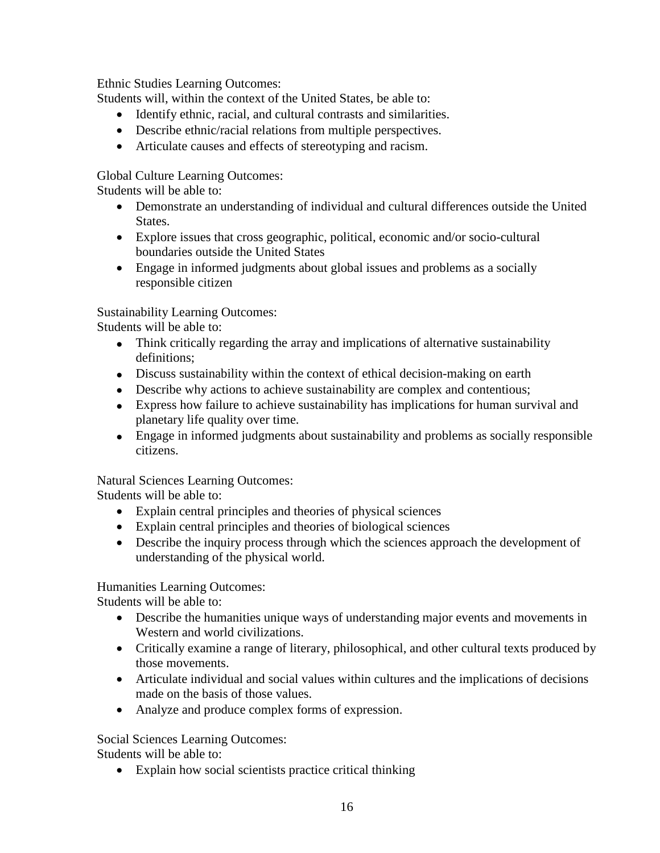Ethnic Studies Learning Outcomes:

Students will, within the context of the United States, be able to:

- Identify ethnic, racial, and cultural contrasts and similarities.
- Describe ethnic/racial relations from multiple perspectives.
- Articulate causes and effects of stereotyping and racism.

### Global Culture Learning Outcomes:

Students will be able to:

- Demonstrate an understanding of individual and cultural differences outside the United States.
- Explore issues that cross geographic, political, economic and/or socio-cultural boundaries outside the United States
- Engage in informed judgments about global issues and problems as a socially responsible citizen

### Sustainability Learning Outcomes:

Students will be able to:

- Think critically regarding the array and implications of alternative sustainability definitions;
- Discuss sustainability within the context of ethical decision-making on earth
- Describe why actions to achieve sustainability are complex and contentious;
- Express how failure to achieve sustainability has implications for human survival and planetary life quality over time.
- Engage in informed judgments about sustainability and problems as socially responsible citizens.

Natural Sciences Learning Outcomes:

Students will be able to:

- Explain central principles and theories of physical sciences
- Explain central principles and theories of biological sciences
- Describe the inquiry process through which the sciences approach the development of understanding of the physical world.

Humanities Learning Outcomes:

Students will be able to:

- Describe the humanities unique ways of understanding major events and movements in Western and world civilizations.
- Critically examine a range of literary, philosophical, and other cultural texts produced by those movements.
- Articulate individual and social values within cultures and the implications of decisions made on the basis of those values.
- Analyze and produce complex forms of expression.

Social Sciences Learning Outcomes:

Students will be able to:

• Explain how social scientists practice critical thinking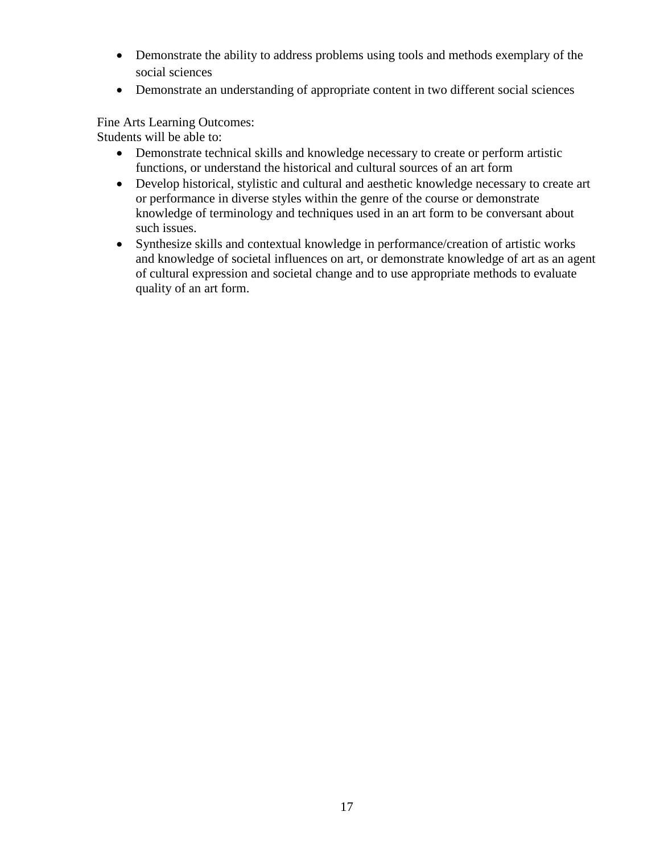- Demonstrate the ability to address problems using tools and methods exemplary of the social sciences
- Demonstrate an understanding of appropriate content in two different social sciences

Fine Arts Learning Outcomes:

Students will be able to:

- Demonstrate technical skills and knowledge necessary to create or perform artistic functions, or understand the historical and cultural sources of an art form
- Develop historical, stylistic and cultural and aesthetic knowledge necessary to create art or performance in diverse styles within the genre of the course or demonstrate knowledge of terminology and techniques used in an art form to be conversant about such issues.
- Synthesize skills and contextual knowledge in performance/creation of artistic works and knowledge of societal influences on art, or demonstrate knowledge of art as an agent of cultural expression and societal change and to use appropriate methods to evaluate quality of an art form.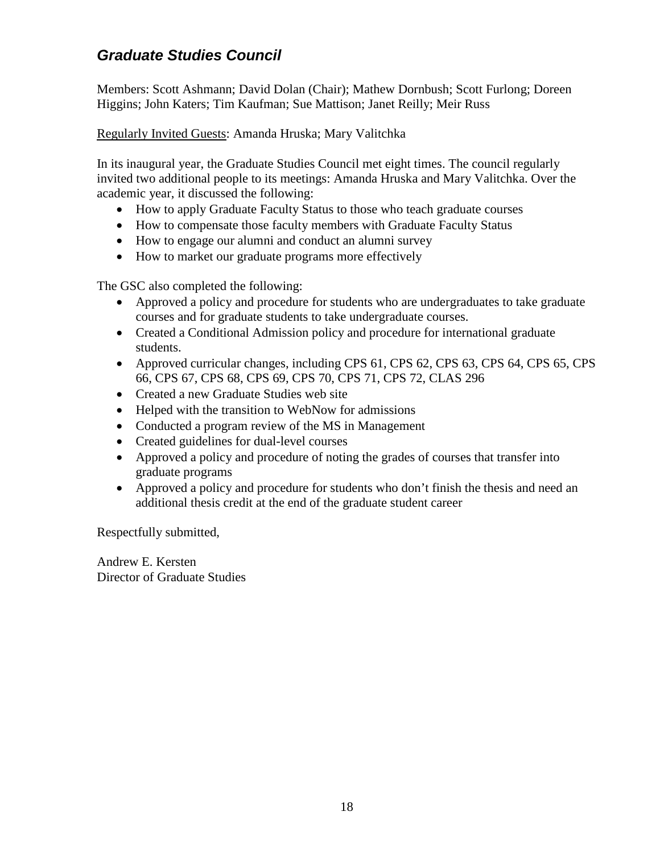# <span id="page-17-0"></span>*Graduate Studies Council*

Members: Scott Ashmann; David Dolan (Chair); Mathew Dornbush; Scott Furlong; Doreen Higgins; John Katers; Tim Kaufman; Sue Mattison; Janet Reilly; Meir Russ

Regularly Invited Guests: Amanda Hruska; Mary Valitchka

In its inaugural year, the Graduate Studies Council met eight times. The council regularly invited two additional people to its meetings: Amanda Hruska and Mary Valitchka. Over the academic year, it discussed the following:

- How to apply Graduate Faculty Status to those who teach graduate courses
- How to compensate those faculty members with Graduate Faculty Status
- How to engage our alumni and conduct an alumni survey
- How to market our graduate programs more effectively

The GSC also completed the following:

- Approved a policy and procedure for students who are undergraduates to take graduate courses and for graduate students to take undergraduate courses.
- Created a Conditional Admission policy and procedure for international graduate students.
- Approved curricular changes, including CPS 61, CPS 62, CPS 63, CPS 64, CPS 65, CPS 66, CPS 67, CPS 68, CPS 69, CPS 70, CPS 71, CPS 72, CLAS 296
- Created a new Graduate Studies web site
- Helped with the transition to WebNow for admissions
- Conducted a program review of the MS in Management
- Created guidelines for dual-level courses
- Approved a policy and procedure of noting the grades of courses that transfer into graduate programs
- Approved a policy and procedure for students who don't finish the thesis and need an additional thesis credit at the end of the graduate student career

Respectfully submitted,

Andrew E. Kersten Director of Graduate Studies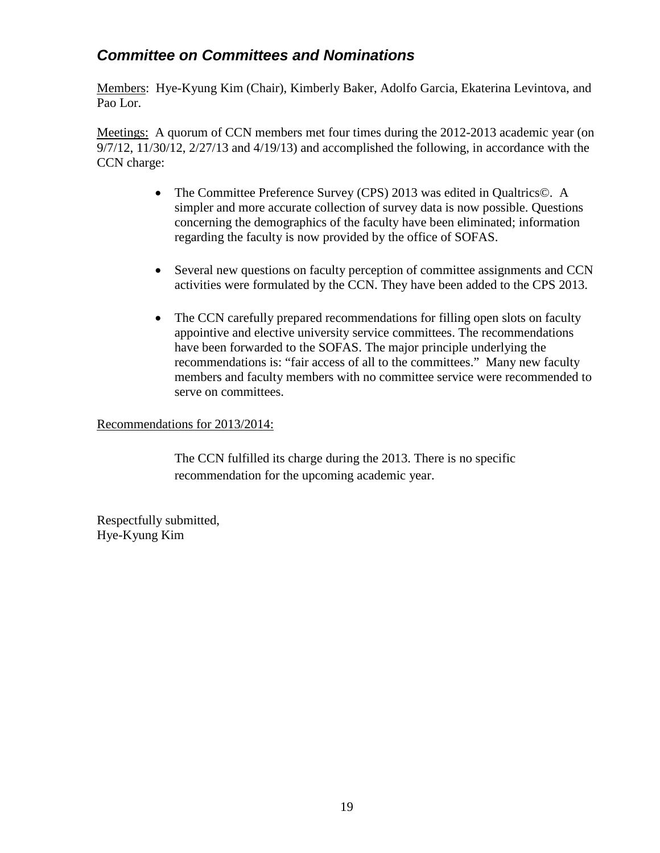# <span id="page-18-0"></span>*Committee on Committees and Nominations*

Members: Hye-Kyung Kim (Chair), Kimberly Baker, Adolfo Garcia, Ekaterina Levintova, and Pao Lor.

Meetings: A quorum of CCN members met four times during the 2012-2013 academic year (on  $9/7/12$ ,  $11/30/12$ ,  $2/27/13$  and  $4/19/13$ ) and accomplished the following, in accordance with the CCN charge:

- The Committee Preference Survey (CPS) 2013 was edited in Qualtrics©. A simpler and more accurate collection of survey data is now possible. Questions concerning the demographics of the faculty have been eliminated; information regarding the faculty is now provided by the office of SOFAS.
- Several new questions on faculty perception of committee assignments and CCN activities were formulated by the CCN. They have been added to the CPS 2013.
- The CCN carefully prepared recommendations for filling open slots on faculty appointive and elective university service committees. The recommendations have been forwarded to the SOFAS. The major principle underlying the recommendations is: "fair access of all to the committees." Many new faculty members and faculty members with no committee service were recommended to serve on committees.

### Recommendations for 2013/2014:

The CCN fulfilled its charge during the 2013. There is no specific recommendation for the upcoming academic year.

Respectfully submitted, Hye-Kyung Kim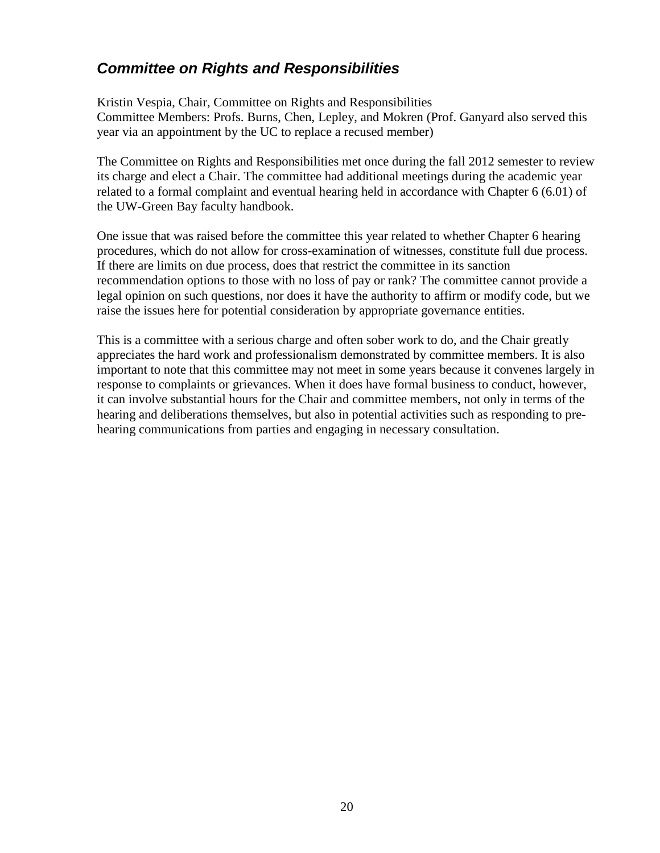# <span id="page-19-0"></span>*Committee on Rights and Responsibilities*

Kristin Vespia, Chair, Committee on Rights and Responsibilities Committee Members: Profs. Burns, Chen, Lepley, and Mokren (Prof. Ganyard also served this year via an appointment by the UC to replace a recused member)

The Committee on Rights and Responsibilities met once during the fall 2012 semester to review its charge and elect a Chair. The committee had additional meetings during the academic year related to a formal complaint and eventual hearing held in accordance with Chapter 6 (6.01) of the UW-Green Bay faculty handbook.

One issue that was raised before the committee this year related to whether Chapter 6 hearing procedures, which do not allow for cross-examination of witnesses, constitute full due process. If there are limits on due process, does that restrict the committee in its sanction recommendation options to those with no loss of pay or rank? The committee cannot provide a legal opinion on such questions, nor does it have the authority to affirm or modify code, but we raise the issues here for potential consideration by appropriate governance entities.

This is a committee with a serious charge and often sober work to do, and the Chair greatly appreciates the hard work and professionalism demonstrated by committee members. It is also important to note that this committee may not meet in some years because it convenes largely in response to complaints or grievances. When it does have formal business to conduct, however, it can involve substantial hours for the Chair and committee members, not only in terms of the hearing and deliberations themselves, but also in potential activities such as responding to prehearing communications from parties and engaging in necessary consultation.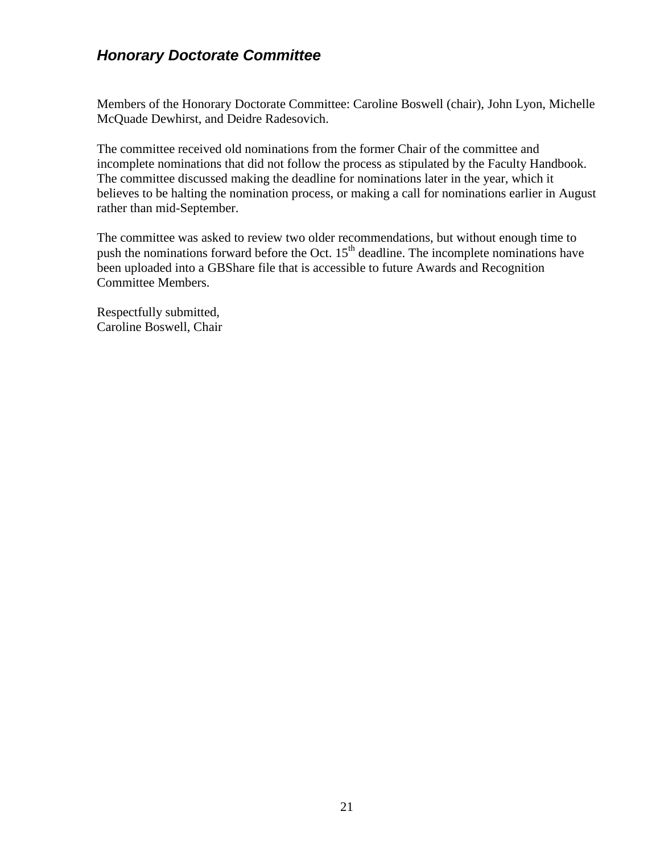### <span id="page-20-0"></span>*Honorary Doctorate Committee*

Members of the Honorary Doctorate Committee: Caroline Boswell (chair), John Lyon, Michelle McQuade Dewhirst, and Deidre Radesovich.

The committee received old nominations from the former Chair of the committee and incomplete nominations that did not follow the process as stipulated by the Faculty Handbook. The committee discussed making the deadline for nominations later in the year, which it believes to be halting the nomination process, or making a call for nominations earlier in August rather than mid-September.

The committee was asked to review two older recommendations, but without enough time to push the nominations forward before the Oct.  $15<sup>th</sup>$  deadline. The incomplete nominations have been uploaded into a GBShare file that is accessible to future Awards and Recognition Committee Members.

Respectfully submitted, Caroline Boswell, Chair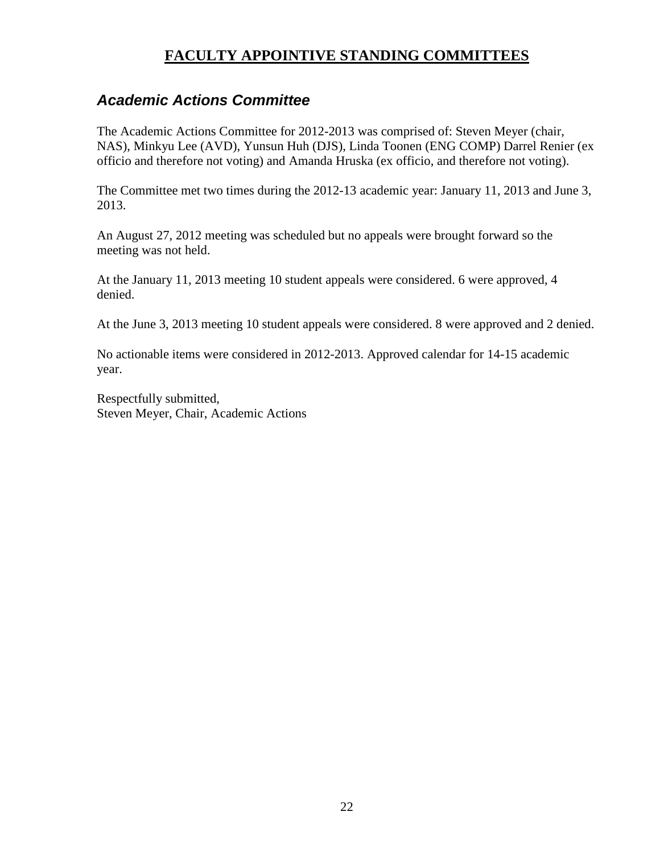# **FACULTY APPOINTIVE STANDING COMMITTEES**

### <span id="page-21-1"></span><span id="page-21-0"></span>*Academic Actions Committee*

The Academic Actions Committee for 2012-2013 was comprised of: Steven Meyer (chair, NAS), Minkyu Lee (AVD), Yunsun Huh (DJS), Linda Toonen (ENG COMP) Darrel Renier (ex officio and therefore not voting) and Amanda Hruska (ex officio, and therefore not voting).

The Committee met two times during the 2012-13 academic year: January 11, 2013 and June 3, 2013.

An August 27, 2012 meeting was scheduled but no appeals were brought forward so the meeting was not held.

At the January 11, 2013 meeting 10 student appeals were considered. 6 were approved, 4 denied.

At the June 3, 2013 meeting 10 student appeals were considered. 8 were approved and 2 denied.

No actionable items were considered in 2012-2013. Approved calendar for 14-15 academic year.

Respectfully submitted, Steven Meyer, Chair, Academic Actions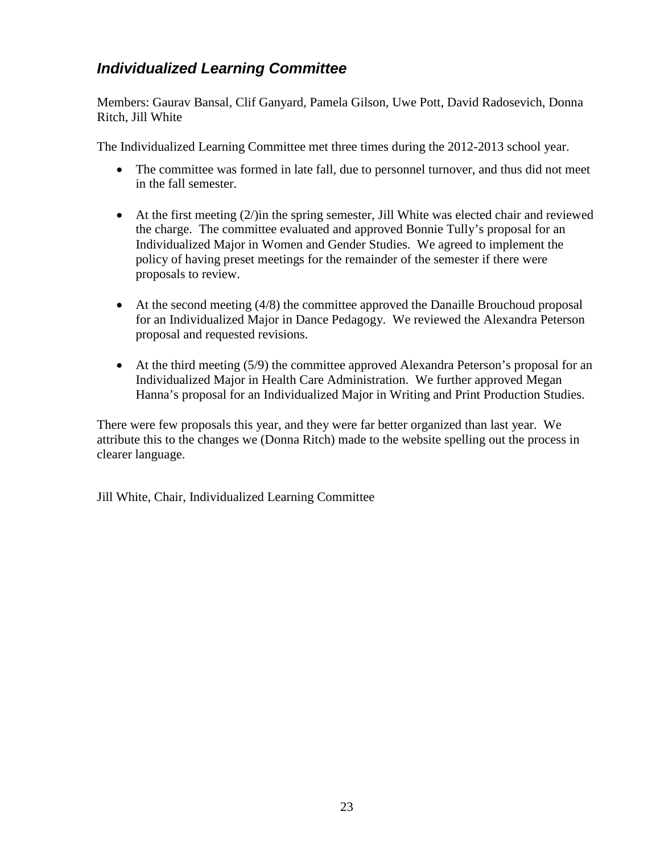# <span id="page-22-0"></span>*Individualized Learning Committee*

Members: Gaurav Bansal, Clif Ganyard, Pamela Gilson, Uwe Pott, David Radosevich, Donna Ritch, Jill White

The Individualized Learning Committee met three times during the 2012-2013 school year.

- The committee was formed in late fall, due to personnel turnover, and thus did not meet in the fall semester.
- At the first meeting  $(2)/$ in the spring semester, Jill White was elected chair and reviewed the charge. The committee evaluated and approved Bonnie Tully's proposal for an Individualized Major in Women and Gender Studies. We agreed to implement the policy of having preset meetings for the remainder of the semester if there were proposals to review.
- At the second meeting (4/8) the committee approved the Danaille Brouchoud proposal for an Individualized Major in Dance Pedagogy. We reviewed the Alexandra Peterson proposal and requested revisions.
- At the third meeting (5/9) the committee approved Alexandra Peterson's proposal for an Individualized Major in Health Care Administration. We further approved Megan Hanna's proposal for an Individualized Major in Writing and Print Production Studies.

There were few proposals this year, and they were far better organized than last year. We attribute this to the changes we (Donna Ritch) made to the website spelling out the process in clearer language.

Jill White, Chair, Individualized Learning Committee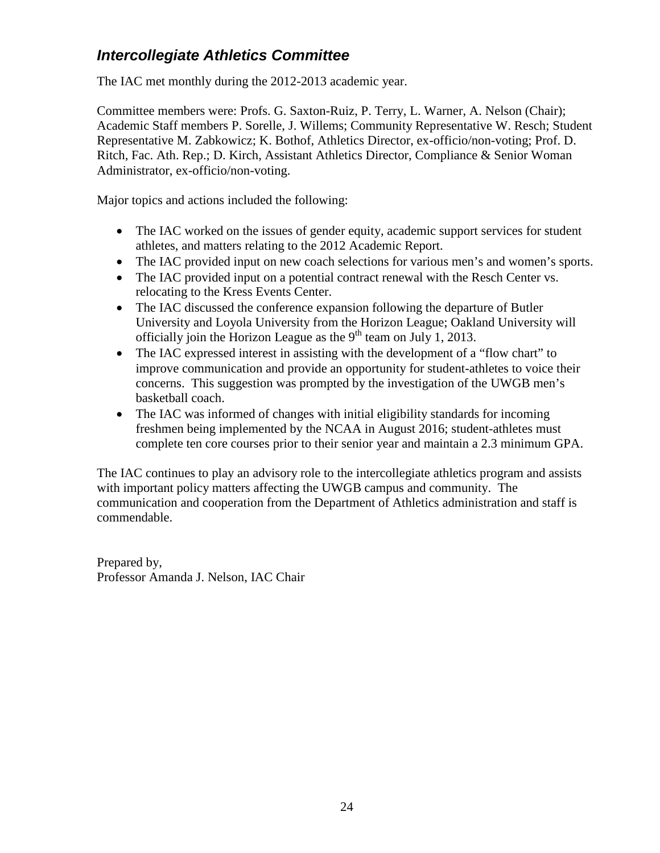# <span id="page-23-0"></span>*Intercollegiate Athletics Committee*

The IAC met monthly during the 2012-2013 academic year.

Committee members were: Profs. G. Saxton-Ruiz, P. Terry, L. Warner, A. Nelson (Chair); Academic Staff members P. Sorelle, J. Willems; Community Representative W. Resch; Student Representative M. Zabkowicz; K. Bothof, Athletics Director, ex-officio/non-voting; Prof. D. Ritch, Fac. Ath. Rep.; D. Kirch, Assistant Athletics Director, Compliance & Senior Woman Administrator, ex-officio/non-voting.

Major topics and actions included the following:

- The IAC worked on the issues of gender equity, academic support services for student athletes, and matters relating to the 2012 Academic Report.
- The IAC provided input on new coach selections for various men's and women's sports.
- The IAC provided input on a potential contract renewal with the Resch Center vs. relocating to the Kress Events Center.
- The IAC discussed the conference expansion following the departure of Butler University and Loyola University from the Horizon League; Oakland University will officially join the Horizon League as the  $9<sup>th</sup>$  team on July 1, 2013.
- The IAC expressed interest in assisting with the development of a "flow chart" to improve communication and provide an opportunity for student-athletes to voice their concerns. This suggestion was prompted by the investigation of the UWGB men's basketball coach.
- The IAC was informed of changes with initial eligibility standards for incoming freshmen being implemented by the NCAA in August 2016; student-athletes must complete ten core courses prior to their senior year and maintain a 2.3 minimum GPA.

The IAC continues to play an advisory role to the intercollegiate athletics program and assists with important policy matters affecting the UWGB campus and community. The communication and cooperation from the Department of Athletics administration and staff is commendable.

Prepared by, Professor Amanda J. Nelson, IAC Chair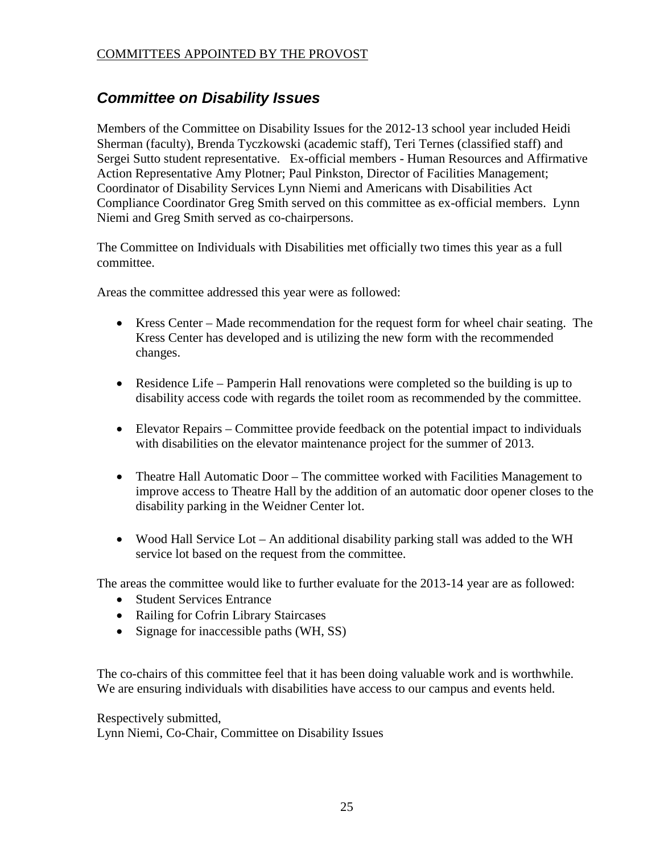### <span id="page-24-0"></span>COMMITTEES APPOINTED BY THE PROVOST

### <span id="page-24-1"></span>*Committee on Disability Issues*

Members of the Committee on Disability Issues for the 2012-13 school year included Heidi Sherman (faculty), Brenda Tyczkowski (academic staff), Teri Ternes (classified staff) and Sergei Sutto student representative. Ex-official members - Human Resources and Affirmative Action Representative Amy Plotner; Paul Pinkston, Director of Facilities Management; Coordinator of Disability Services Lynn Niemi and Americans with Disabilities Act Compliance Coordinator Greg Smith served on this committee as ex-official members. Lynn Niemi and Greg Smith served as co-chairpersons.

The Committee on Individuals with Disabilities met officially two times this year as a full committee.

Areas the committee addressed this year were as followed:

- Kress Center Made recommendation for the request form for wheel chair seating. The Kress Center has developed and is utilizing the new form with the recommended changes.
- Residence Life Pamperin Hall renovations were completed so the building is up to disability access code with regards the toilet room as recommended by the committee.
- Elevator Repairs Committee provide feedback on the potential impact to individuals with disabilities on the elevator maintenance project for the summer of 2013.
- Theatre Hall Automatic Door The committee worked with Facilities Management to improve access to Theatre Hall by the addition of an automatic door opener closes to the disability parking in the Weidner Center lot.
- Wood Hall Service Lot An additional disability parking stall was added to the WH service lot based on the request from the committee.

The areas the committee would like to further evaluate for the 2013-14 year are as followed:

- Student Services Entrance
- Railing for Cofrin Library Staircases
- Signage for inaccessible paths (WH, SS)

The co-chairs of this committee feel that it has been doing valuable work and is worthwhile. We are ensuring individuals with disabilities have access to our campus and events held.

Respectively submitted, Lynn Niemi, Co-Chair, Committee on Disability Issues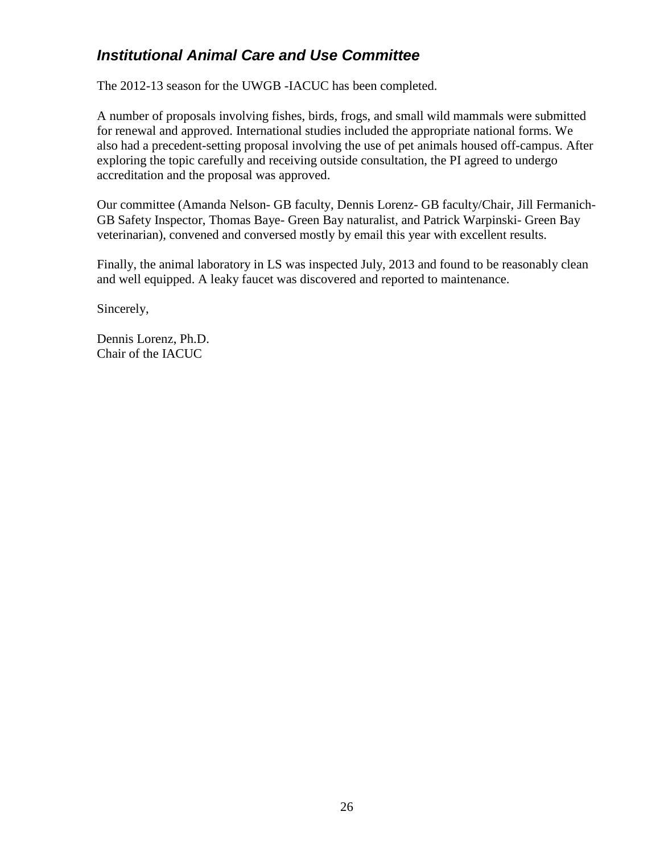# <span id="page-25-0"></span>*Institutional Animal Care and Use Committee*

The 2012-13 season for the UWGB -IACUC has been completed.

A number of proposals involving fishes, birds, frogs, and small wild mammals were submitted for renewal and approved. International studies included the appropriate national forms. We also had a precedent-setting proposal involving the use of pet animals housed off-campus. After exploring the topic carefully and receiving outside consultation, the PI agreed to undergo accreditation and the proposal was approved.

Our committee (Amanda Nelson- GB faculty, Dennis Lorenz- GB faculty/Chair, Jill Fermanich-GB Safety Inspector, Thomas Baye- Green Bay naturalist, and Patrick Warpinski- Green Bay veterinarian), convened and conversed mostly by email this year with excellent results.

Finally, the animal laboratory in LS was inspected July, 2013 and found to be reasonably clean and well equipped. A leaky faucet was discovered and reported to maintenance.

Sincerely,

Dennis Lorenz, Ph.D. Chair of the IACUC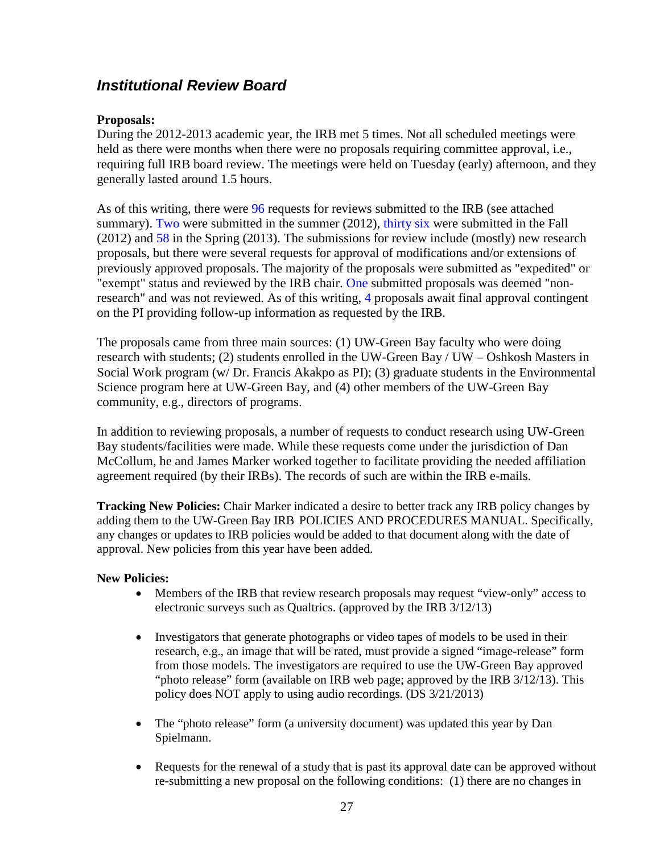# <span id="page-26-0"></span>*Institutional Review Board*

### **Proposals:**

During the 2012-2013 academic year, the IRB met 5 times. Not all scheduled meetings were held as there were months when there were no proposals requiring committee approval, i.e., requiring full IRB board review. The meetings were held on Tuesday (early) afternoon, and they generally lasted around 1.5 hours.

As of this writing, there were 96 requests for reviews submitted to the IRB (see attached summary). Two were submitted in the summer (2012), thirty six were submitted in the Fall (2012) and 58 in the Spring (2013). The submissions for review include (mostly) new research proposals, but there were several requests for approval of modifications and/or extensions of previously approved proposals. The majority of the proposals were submitted as "expedited" or "exempt" status and reviewed by the IRB chair. One submitted proposals was deemed "nonresearch" and was not reviewed. As of this writing, 4 proposals await final approval contingent on the PI providing follow-up information as requested by the IRB.

The proposals came from three main sources: (1) UW-Green Bay faculty who were doing research with students; (2) students enrolled in the UW-Green Bay / UW – Oshkosh Masters in Social Work program (w/ Dr. Francis Akakpo as PI); (3) graduate students in the Environmental Science program here at UW-Green Bay, and (4) other members of the UW-Green Bay community, e.g., directors of programs.

In addition to reviewing proposals, a number of requests to conduct research using UW-Green Bay students/facilities were made. While these requests come under the jurisdiction of Dan McCollum, he and James Marker worked together to facilitate providing the needed affiliation agreement required (by their IRBs). The records of such are within the IRB e-mails.

**Tracking New Policies:** Chair Marker indicated a desire to better track any IRB policy changes by adding them to the UW-Green Bay IRB POLICIES AND PROCEDURES MANUAL. Specifically, any changes or updates to IRB policies would be added to that document along with the date of approval. New policies from this year have been added.

#### **New Policies:**

- Members of the IRB that review research proposals may request "view-only" access to electronic surveys such as Qualtrics. (approved by the IRB 3/12/13)
- Investigators that generate photographs or video tapes of models to be used in their research, e.g., an image that will be rated, must provide a signed "image-release" form from those models. The investigators are required to use the UW-Green Bay approved "photo release" form (available on IRB web page; approved by the IRB 3/12/13). This policy does NOT apply to using audio recordings. (DS 3/21/2013)
- The "photo release" form (a university document) was updated this year by Dan Spielmann.
- Requests for the renewal of a study that is past its approval date can be approved without re-submitting a new proposal on the following conditions: (1) there are no changes in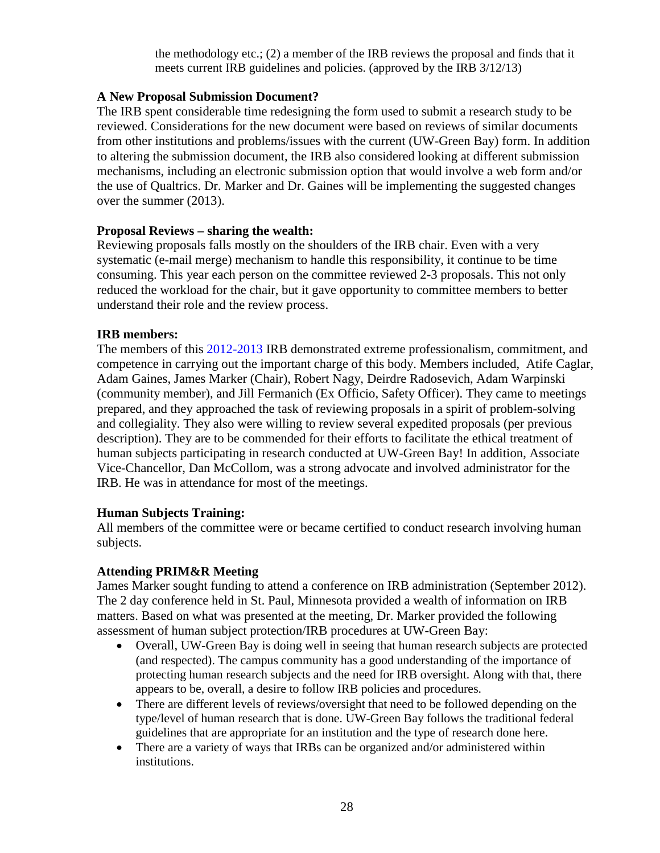the methodology etc.; (2) a member of the IRB reviews the proposal and finds that it meets current IRB guidelines and policies. (approved by the IRB 3/12/13)

#### **A New Proposal Submission Document?**

The IRB spent considerable time redesigning the form used to submit a research study to be reviewed. Considerations for the new document were based on reviews of similar documents from other institutions and problems/issues with the current (UW-Green Bay) form. In addition to altering the submission document, the IRB also considered looking at different submission mechanisms, including an electronic submission option that would involve a web form and/or the use of Qualtrics. Dr. Marker and Dr. Gaines will be implementing the suggested changes over the summer (2013).

### **Proposal Reviews – sharing the wealth:**

Reviewing proposals falls mostly on the shoulders of the IRB chair. Even with a very systematic (e-mail merge) mechanism to handle this responsibility, it continue to be time consuming. This year each person on the committee reviewed 2-3 proposals. This not only reduced the workload for the chair, but it gave opportunity to committee members to better understand their role and the review process.

### **IRB members:**

The members of this 2012-2013 IRB demonstrated extreme professionalism, commitment, and competence in carrying out the important charge of this body. Members included, Atife Caglar, Adam Gaines, James Marker (Chair), Robert Nagy, Deirdre Radosevich, Adam Warpinski (community member), and Jill Fermanich (Ex Officio, Safety Officer). They came to meetings prepared, and they approached the task of reviewing proposals in a spirit of problem-solving and collegiality. They also were willing to review several expedited proposals (per previous description). They are to be commended for their efforts to facilitate the ethical treatment of human subjects participating in research conducted at UW-Green Bay! In addition, Associate Vice-Chancellor, Dan McCollom, was a strong advocate and involved administrator for the IRB. He was in attendance for most of the meetings.

### **Human Subjects Training:**

All members of the committee were or became certified to conduct research involving human subjects.

### **Attending PRIM&R Meeting**

James Marker sought funding to attend a conference on IRB administration (September 2012). The 2 day conference held in St. Paul, Minnesota provided a wealth of information on IRB matters. Based on what was presented at the meeting, Dr. Marker provided the following assessment of human subject protection/IRB procedures at UW-Green Bay:

- Overall, UW-Green Bay is doing well in seeing that human research subjects are protected (and respected). The campus community has a good understanding of the importance of protecting human research subjects and the need for IRB oversight. Along with that, there appears to be, overall, a desire to follow IRB policies and procedures.
- There are different levels of reviews/oversight that need to be followed depending on the type/level of human research that is done. UW-Green Bay follows the traditional federal guidelines that are appropriate for an institution and the type of research done here.
- There are a variety of ways that IRBs can be organized and/or administered within institutions.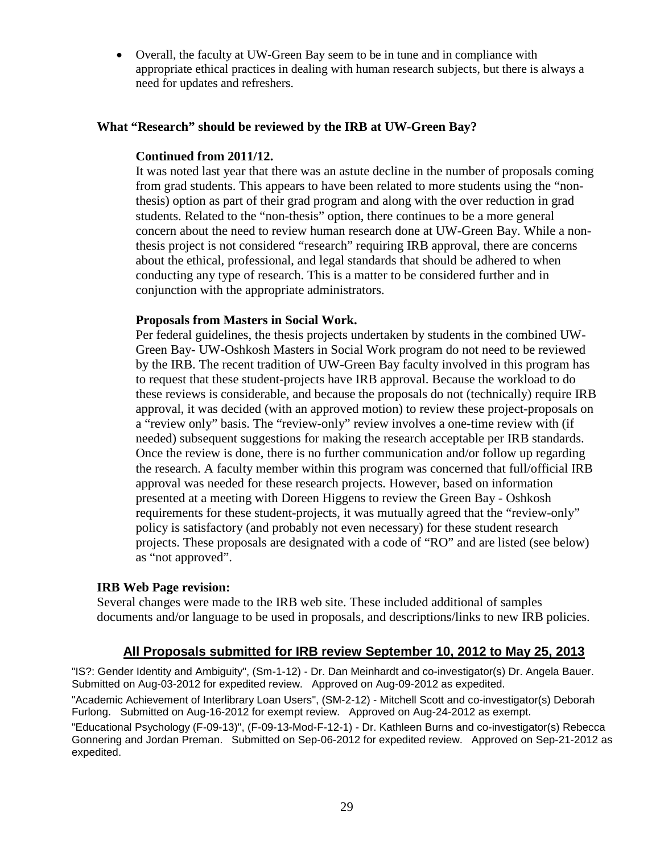• Overall, the faculty at UW-Green Bay seem to be in tune and in compliance with appropriate ethical practices in dealing with human research subjects, but there is always a need for updates and refreshers.

#### **What "Research" should be reviewed by the IRB at UW-Green Bay?**

#### **Continued from 2011/12.**

It was noted last year that there was an astute decline in the number of proposals coming from grad students. This appears to have been related to more students using the "nonthesis) option as part of their grad program and along with the over reduction in grad students. Related to the "non-thesis" option, there continues to be a more general concern about the need to review human research done at UW-Green Bay. While a nonthesis project is not considered "research" requiring IRB approval, there are concerns about the ethical, professional, and legal standards that should be adhered to when conducting any type of research. This is a matter to be considered further and in conjunction with the appropriate administrators.

#### **Proposals from Masters in Social Work.**

Per federal guidelines, the thesis projects undertaken by students in the combined UW-Green Bay- UW-Oshkosh Masters in Social Work program do not need to be reviewed by the IRB. The recent tradition of UW-Green Bay faculty involved in this program has to request that these student-projects have IRB approval. Because the workload to do these reviews is considerable, and because the proposals do not (technically) require IRB approval, it was decided (with an approved motion) to review these project-proposals on a "review only" basis. The "review-only" review involves a one-time review with (if needed) subsequent suggestions for making the research acceptable per IRB standards. Once the review is done, there is no further communication and/or follow up regarding the research. A faculty member within this program was concerned that full/official IRB approval was needed for these research projects. However, based on information presented at a meeting with Doreen Higgens to review the Green Bay - Oshkosh requirements for these student-projects, it was mutually agreed that the "review-only" policy is satisfactory (and probably not even necessary) for these student research projects. These proposals are designated with a code of "RO" and are listed (see below) as "not approved".

#### **IRB Web Page revision:**

Several changes were made to the IRB web site. These included additional of samples documents and/or language to be used in proposals, and descriptions/links to new IRB policies.

### **All Proposals submitted for IRB review September 10, 2012 to May 25, 2013**

"IS?: Gender Identity and Ambiguity", (Sm-1-12) - Dr. Dan Meinhardt and co-investigator(s) Dr. Angela Bauer. Submitted on Aug-03-2012 for expedited review. Approved on Aug-09-2012 as expedited.

"Academic Achievement of Interlibrary Loan Users", (SM-2-12) - Mitchell Scott and co-investigator(s) Deborah Furlong. Submitted on Aug-16-2012 for exempt review. Approved on Aug-24-2012 as exempt.

"Educational Psychology (F-09-13)", (F-09-13-Mod-F-12-1) - Dr. Kathleen Burns and co-investigator(s) Rebecca Gonnering and Jordan Preman. Submitted on Sep-06-2012 for expedited review. Approved on Sep-21-2012 as expedited.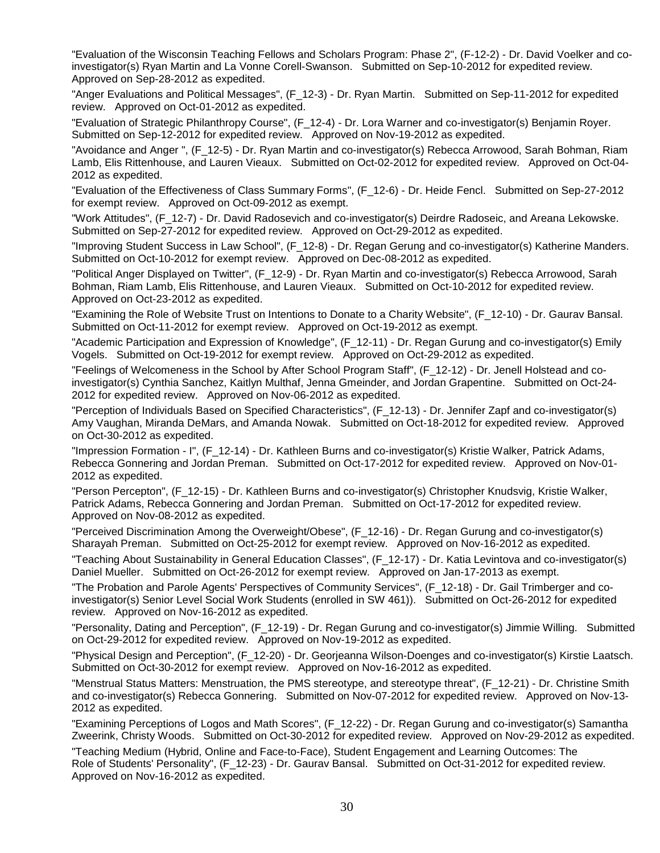"Evaluation of the Wisconsin Teaching Fellows and Scholars Program: Phase 2", (F-12-2) - Dr. David Voelker and coinvestigator(s) Ryan Martin and La Vonne Corell-Swanson. Submitted on Sep-10-2012 for expedited review. Approved on Sep-28-2012 as expedited.

"Anger Evaluations and Political Messages", (F\_12-3) - Dr. Ryan Martin. Submitted on Sep-11-2012 for expedited review. Approved on Oct-01-2012 as expedited.

"Evaluation of Strategic Philanthropy Course", (F\_12-4) - Dr. Lora Warner and co-investigator(s) Benjamin Royer. Submitted on Sep-12-2012 for expedited review. Approved on Nov-19-2012 as expedited.

"Avoidance and Anger ", (F\_12-5) - Dr. Ryan Martin and co-investigator(s) Rebecca Arrowood, Sarah Bohman, Riam Lamb, Elis Rittenhouse, and Lauren Vieaux. Submitted on Oct-02-2012 for expedited review. Approved on Oct-04- 2012 as expedited.

"Evaluation of the Effectiveness of Class Summary Forms", (F\_12-6) - Dr. Heide Fencl. Submitted on Sep-27-2012 for exempt review. Approved on Oct-09-2012 as exempt.

"Work Attitudes", (F\_12-7) - Dr. David Radosevich and co-investigator(s) Deirdre Radoseic, and Areana Lekowske. Submitted on Sep-27-2012 for expedited review. Approved on Oct-29-2012 as expedited.

"Improving Student Success in Law School", (F\_12-8) - Dr. Regan Gerung and co-investigator(s) Katherine Manders. Submitted on Oct-10-2012 for exempt review. Approved on Dec-08-2012 as expedited.

"Political Anger Displayed on Twitter", (F\_12-9) - Dr. Ryan Martin and co-investigator(s) Rebecca Arrowood, Sarah Bohman, Riam Lamb, Elis Rittenhouse, and Lauren Vieaux. Submitted on Oct-10-2012 for expedited review. Approved on Oct-23-2012 as expedited.

"Examining the Role of Website Trust on Intentions to Donate to a Charity Website", (F\_12-10) - Dr. Gaurav Bansal. Submitted on Oct-11-2012 for exempt review. Approved on Oct-19-2012 as exempt.

"Academic Participation and Expression of Knowledge", (F\_12-11) - Dr. Regan Gurung and co-investigator(s) Emily Vogels. Submitted on Oct-19-2012 for exempt review. Approved on Oct-29-2012 as expedited.

"Feelings of Welcomeness in the School by After School Program Staff", (F\_12-12) - Dr. Jenell Holstead and coinvestigator(s) Cynthia Sanchez, Kaitlyn Multhaf, Jenna Gmeinder, and Jordan Grapentine. Submitted on Oct-24- 2012 for expedited review. Approved on Nov-06-2012 as expedited.

"Perception of Individuals Based on Specified Characteristics", (F\_12-13) - Dr. Jennifer Zapf and co-investigator(s) Amy Vaughan, Miranda DeMars, and Amanda Nowak. Submitted on Oct-18-2012 for expedited review. Approved on Oct-30-2012 as expedited.

"Impression Formation - I", (F\_12-14) - Dr. Kathleen Burns and co-investigator(s) Kristie Walker, Patrick Adams, Rebecca Gonnering and Jordan Preman. Submitted on Oct-17-2012 for expedited review. Approved on Nov-01- 2012 as expedited.

"Person Percepton", (F\_12-15) - Dr. Kathleen Burns and co-investigator(s) Christopher Knudsvig, Kristie Walker, Patrick Adams, Rebecca Gonnering and Jordan Preman. Submitted on Oct-17-2012 for expedited review. Approved on Nov-08-2012 as expedited.

"Perceived Discrimination Among the Overweight/Obese", (F\_12-16) - Dr. Regan Gurung and co-investigator(s) Sharayah Preman. Submitted on Oct-25-2012 for exempt review. Approved on Nov-16-2012 as expedited.

"Teaching About Sustainability in General Education Classes", (F\_12-17) - Dr. Katia Levintova and co-investigator(s) Daniel Mueller. Submitted on Oct-26-2012 for exempt review. Approved on Jan-17-2013 as exempt.

"The Probation and Parole Agents' Perspectives of Community Services", (F\_12-18) - Dr. Gail Trimberger and coinvestigator(s) Senior Level Social Work Students (enrolled in SW 461)). Submitted on Oct-26-2012 for expedited review. Approved on Nov-16-2012 as expedited.

"Personality, Dating and Perception", (F\_12-19) - Dr. Regan Gurung and co-investigator(s) Jimmie Willing. Submitted on Oct-29-2012 for expedited review. Approved on Nov-19-2012 as expedited.

"Physical Design and Perception", (F\_12-20) - Dr. Georjeanna Wilson-Doenges and co-investigator(s) Kirstie Laatsch. Submitted on Oct-30-2012 for exempt review. Approved on Nov-16-2012 as expedited.

"Menstrual Status Matters: Menstruation, the PMS stereotype, and stereotype threat", (F\_12-21) - Dr. Christine Smith and co-investigator(s) Rebecca Gonnering. Submitted on Nov-07-2012 for expedited review. Approved on Nov-13- 2012 as expedited.

"Examining Perceptions of Logos and Math Scores", (F\_12-22) - Dr. Regan Gurung and co-investigator(s) Samantha Zweerink, Christy Woods. Submitted on Oct-30-2012 for expedited review. Approved on Nov-29-2012 as expedited.

"Teaching Medium (Hybrid, Online and Face-to-Face), Student Engagement and Learning Outcomes: The Role of Students' Personality", (F\_12-23) - Dr. Gaurav Bansal. Submitted on Oct-31-2012 for expedited review. Approved on Nov-16-2012 as expedited.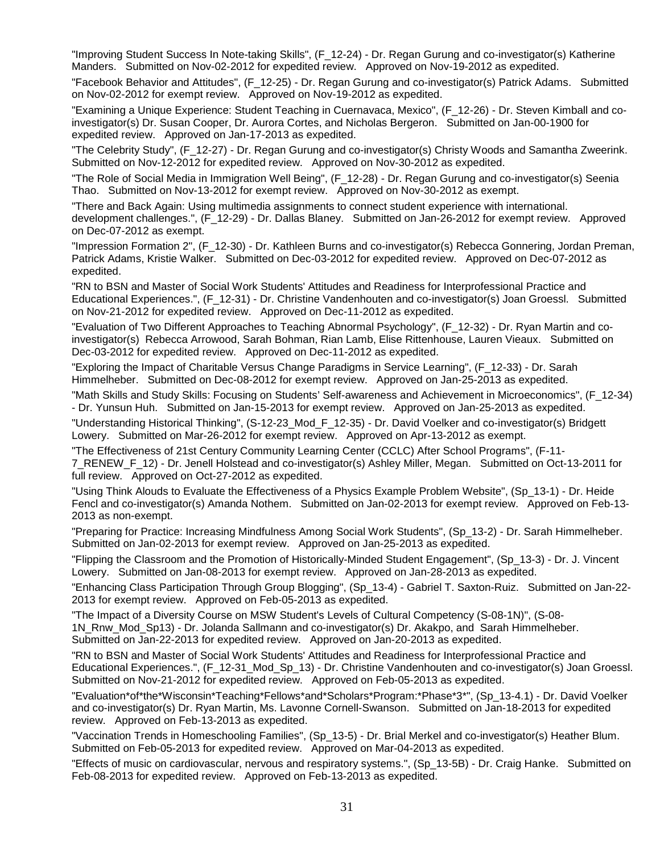"Improving Student Success In Note-taking Skills", (F\_12-24) - Dr. Regan Gurung and co-investigator(s) Katherine Manders. Submitted on Nov-02-2012 for expedited review. Approved on Nov-19-2012 as expedited.

"Facebook Behavior and Attitudes", (F\_12-25) - Dr. Regan Gurung and co-investigator(s) Patrick Adams. Submitted on Nov-02-2012 for exempt review. Approved on Nov-19-2012 as expedited.

"Examining a Unique Experience: Student Teaching in Cuernavaca, Mexico", (F\_12-26) - Dr. Steven Kimball and coinvestigator(s) Dr. Susan Cooper, Dr. Aurora Cortes, and Nicholas Bergeron. Submitted on Jan-00-1900 for expedited review. Approved on Jan-17-2013 as expedited.

"The Celebrity Study", (F\_12-27) - Dr. Regan Gurung and co-investigator(s) Christy Woods and Samantha Zweerink. Submitted on Nov-12-2012 for expedited review. Approved on Nov-30-2012 as expedited.

"The Role of Social Media in Immigration Well Being", (F\_12-28) - Dr. Regan Gurung and co-investigator(s) Seenia Thao. Submitted on Nov-13-2012 for exempt review. Approved on Nov-30-2012 as exempt.

"There and Back Again: Using multimedia assignments to connect student experience with international. development challenges.", (F\_12-29) - Dr. Dallas Blaney. Submitted on Jan-26-2012 for exempt review. Approved on Dec-07-2012 as exempt.

"Impression Formation 2", (F\_12-30) - Dr. Kathleen Burns and co-investigator(s) Rebecca Gonnering, Jordan Preman, Patrick Adams, Kristie Walker. Submitted on Dec-03-2012 for expedited review. Approved on Dec-07-2012 as expedited.

"RN to BSN and Master of Social Work Students' Attitudes and Readiness for Interprofessional Practice and Educational Experiences.", (F\_12-31) - Dr. Christine Vandenhouten and co-investigator(s) Joan Groessl. Submitted on Nov-21-2012 for expedited review. Approved on Dec-11-2012 as expedited.

"Evaluation of Two Different Approaches to Teaching Abnormal Psychology", (F\_12-32) - Dr. Ryan Martin and coinvestigator(s) Rebecca Arrowood, Sarah Bohman, Rian Lamb, Elise Rittenhouse, Lauren Vieaux. Submitted on Dec-03-2012 for expedited review. Approved on Dec-11-2012 as expedited.

"Exploring the Impact of Charitable Versus Change Paradigms in Service Learning", (F\_12-33) - Dr. Sarah Himmelheber. Submitted on Dec-08-2012 for exempt review. Approved on Jan-25-2013 as expedited.

"Math Skills and Study Skills: Focusing on Students' Self-awareness and Achievement in Microeconomics", (F\_12-34) - Dr. Yunsun Huh. Submitted on Jan-15-2013 for exempt review. Approved on Jan-25-2013 as expedited.

"Understanding Historical Thinking", (S-12-23 Mod F 12-35) - Dr. David Voelker and co-investigator(s) Bridgett Lowery. Submitted on Mar-26-2012 for exempt review. Approved on Apr-13-2012 as exempt.

"The Effectiveness of 21st Century Community Learning Center (CCLC) After School Programs", (F-11- 7\_RENEW\_F\_12) - Dr. Jenell Holstead and co-investigator(s) Ashley Miller, Megan. Submitted on Oct-13-2011 for full review. Approved on Oct-27-2012 as expedited.

"Using Think Alouds to Evaluate the Effectiveness of a Physics Example Problem Website", (Sp\_13-1) - Dr. Heide Fencl and co-investigator(s) Amanda Nothem. Submitted on Jan-02-2013 for exempt review. Approved on Feb-13- 2013 as non-exempt.

"Preparing for Practice: Increasing Mindfulness Among Social Work Students", (Sp\_13-2) - Dr. Sarah Himmelheber. Submitted on Jan-02-2013 for exempt review. Approved on Jan-25-2013 as expedited.

"Flipping the Classroom and the Promotion of Historically-Minded Student Engagement", (Sp\_13-3) - Dr. J. Vincent Lowery. Submitted on Jan-08-2013 for exempt review. Approved on Jan-28-2013 as expedited.

"Enhancing Class Participation Through Group Blogging", (Sp\_13-4) - Gabriel T. Saxton-Ruiz. Submitted on Jan-22- 2013 for exempt review. Approved on Feb-05-2013 as expedited.

"The Impact of a Diversity Course on MSW Student's Levels of Cultural Competency (S-08-1N)", (S-08- 1N\_Rnw\_Mod\_Sp13) - Dr. Jolanda Sallmann and co-investigator(s) Dr. Akakpo, and Sarah Himmelheber.

Submitted on Jan-22-2013 for expedited review. Approved on Jan-20-2013 as expedited.

"RN to BSN and Master of Social Work Students' Attitudes and Readiness for Interprofessional Practice and Educational Experiences.", (F\_12-31\_Mod\_Sp\_13) - Dr. Christine Vandenhouten and co-investigator(s) Joan Groessl. Submitted on Nov-21-2012 for expedited review. Approved on Feb-05-2013 as expedited.

"Evaluation\*of\*the\*Wisconsin\*Teaching\*Fellows\*and\*Scholars\*Program:\*Phase\*3\*", (Sp\_13-4.1) - Dr. David Voelker and co-investigator(s) Dr. Ryan Martin, Ms. Lavonne Cornell-Swanson. Submitted on Jan-18-2013 for expedited review. Approved on Feb-13-2013 as expedited.

"Vaccination Trends in Homeschooling Families", (Sp\_13-5) - Dr. Brial Merkel and co-investigator(s) Heather Blum. Submitted on Feb-05-2013 for expedited review. Approved on Mar-04-2013 as expedited.

"Effects of music on cardiovascular, nervous and respiratory systems.", (Sp\_13-5B) - Dr. Craig Hanke. Submitted on Feb-08-2013 for expedited review. Approved on Feb-13-2013 as expedited.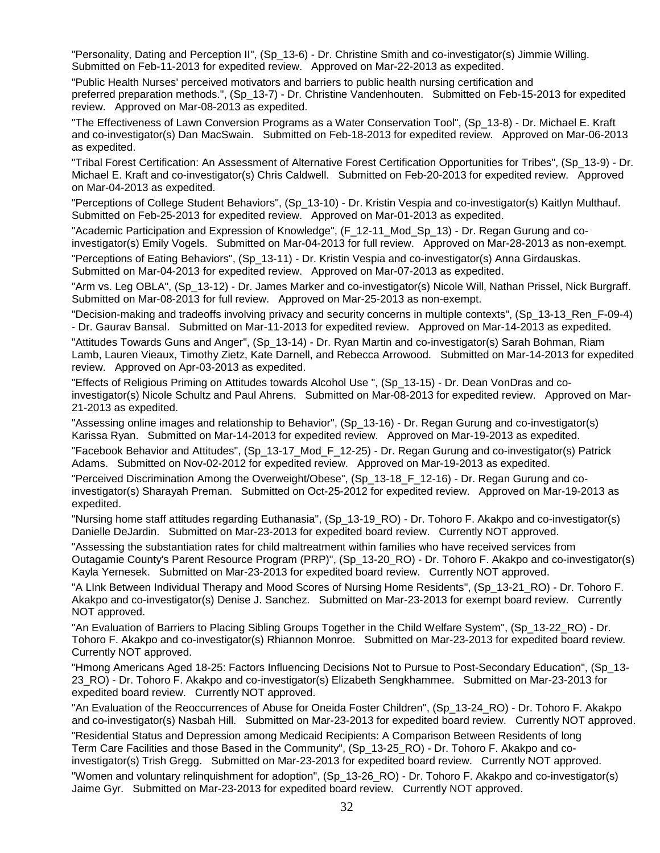"Personality, Dating and Perception II", (Sp\_13-6) - Dr. Christine Smith and co-investigator(s) Jimmie Willing. Submitted on Feb-11-2013 for expedited review. Approved on Mar-22-2013 as expedited.

"Public Health Nurses' perceived motivators and barriers to public health nursing certification and preferred preparation methods.", (Sp\_13-7) - Dr. Christine Vandenhouten. Submitted on Feb-15-2013 for expedited review. Approved on Mar-08-2013 as expedited.

"The Effectiveness of Lawn Conversion Programs as a Water Conservation Tool", (Sp\_13-8) - Dr. Michael E. Kraft and co-investigator(s) Dan MacSwain. Submitted on Feb-18-2013 for expedited review. Approved on Mar-06-2013 as expedited.

"Tribal Forest Certification: An Assessment of Alternative Forest Certification Opportunities for Tribes", (Sp\_13-9) - Dr. Michael E. Kraft and co-investigator(s) Chris Caldwell. Submitted on Feb-20-2013 for expedited review. Approved on Mar-04-2013 as expedited.

"Perceptions of College Student Behaviors", (Sp\_13-10) - Dr. Kristin Vespia and co-investigator(s) Kaitlyn Multhauf. Submitted on Feb-25-2013 for expedited review. Approved on Mar-01-2013 as expedited.

"Academic Participation and Expression of Knowledge", (F\_12-11\_Mod\_Sp\_13) - Dr. Regan Gurung and coinvestigator(s) Emily Vogels. Submitted on Mar-04-2013 for full review. Approved on Mar-28-2013 as non-exempt.

"Perceptions of Eating Behaviors", (Sp\_13-11) - Dr. Kristin Vespia and co-investigator(s) Anna Girdauskas. Submitted on Mar-04-2013 for expedited review. Approved on Mar-07-2013 as expedited.

"Arm vs. Leg OBLA", (Sp\_13-12) - Dr. James Marker and co-investigator(s) Nicole Will, Nathan Prissel, Nick Burgraff. Submitted on Mar-08-2013 for full review. Approved on Mar-25-2013 as non-exempt.

"Decision-making and tradeoffs involving privacy and security concerns in multiple contexts", (Sp\_13-13\_Ren\_F-09-4) - Dr. Gaurav Bansal. Submitted on Mar-11-2013 for expedited review. Approved on Mar-14-2013 as expedited.

"Attitudes Towards Guns and Anger", (Sp\_13-14) - Dr. Ryan Martin and co-investigator(s) Sarah Bohman, Riam Lamb, Lauren Vieaux, Timothy Zietz, Kate Darnell, and Rebecca Arrowood. Submitted on Mar-14-2013 for expedited review. Approved on Apr-03-2013 as expedited.

"Effects of Religious Priming on Attitudes towards Alcohol Use ", (Sp\_13-15) - Dr. Dean VonDras and coinvestigator(s) Nicole Schultz and Paul Ahrens. Submitted on Mar-08-2013 for expedited review. Approved on Mar-21-2013 as expedited.

"Assessing online images and relationship to Behavior", (Sp\_13-16) - Dr. Regan Gurung and co-investigator(s) Karissa Ryan. Submitted on Mar-14-2013 for expedited review. Approved on Mar-19-2013 as expedited.

"Facebook Behavior and Attitudes", (Sp\_13-17\_Mod\_F\_12-25) - Dr. Regan Gurung and co-investigator(s) Patrick Adams. Submitted on Nov-02-2012 for expedited review. Approved on Mar-19-2013 as expedited.

"Perceived Discrimination Among the Overweight/Obese", (Sp\_13-18\_F\_12-16) - Dr. Regan Gurung and coinvestigator(s) Sharayah Preman. Submitted on Oct-25-2012 for expedited review. Approved on Mar-19-2013 as expedited.

"Nursing home staff attitudes regarding Euthanasia", (Sp\_13-19\_RO) - Dr. Tohoro F. Akakpo and co-investigator(s) Danielle DeJardin. Submitted on Mar-23-2013 for expedited board review. Currently NOT approved.

"Assessing the substantiation rates for child maltreatment within families who have received services from Outagamie County's Parent Resource Program (PRP)", (Sp\_13-20\_RO) - Dr. Tohoro F. Akakpo and co-investigator(s) Kayla Yernesek. Submitted on Mar-23-2013 for expedited board review. Currently NOT approved.

"A LInk Between Individual Therapy and Mood Scores of Nursing Home Residents", (Sp\_13-21\_RO) - Dr. Tohoro F. Akakpo and co-investigator(s) Denise J. Sanchez. Submitted on Mar-23-2013 for exempt board review. Currently NOT approved.

"An Evaluation of Barriers to Placing Sibling Groups Together in the Child Welfare System", (Sp\_13-22\_RO) - Dr. Tohoro F. Akakpo and co-investigator(s) Rhiannon Monroe. Submitted on Mar-23-2013 for expedited board review. Currently NOT approved.

"Hmong Americans Aged 18-25: Factors Influencing Decisions Not to Pursue to Post-Secondary Education", (Sp\_13- 23\_RO) - Dr. Tohoro F. Akakpo and co-investigator(s) Elizabeth Sengkhammee. Submitted on Mar-23-2013 for expedited board review. Currently NOT approved.

"An Evaluation of the Reoccurrences of Abuse for Oneida Foster Children", (Sp\_13-24\_RO) - Dr. Tohoro F. Akakpo and co-investigator(s) Nasbah Hill. Submitted on Mar-23-2013 for expedited board review. Currently NOT approved.

"Residential Status and Depression among Medicaid Recipients: A Comparison Between Residents of long Term Care Facilities and those Based in the Community", (Sp\_13-25\_RO) - Dr. Tohoro F. Akakpo and coinvestigator(s) Trish Gregg. Submitted on Mar-23-2013 for expedited board review. Currently NOT approved.

"Women and voluntary relinquishment for adoption", (Sp\_13-26\_RO) - Dr. Tohoro F. Akakpo and co-investigator(s) Jaime Gyr. Submitted on Mar-23-2013 for expedited board review. Currently NOT approved.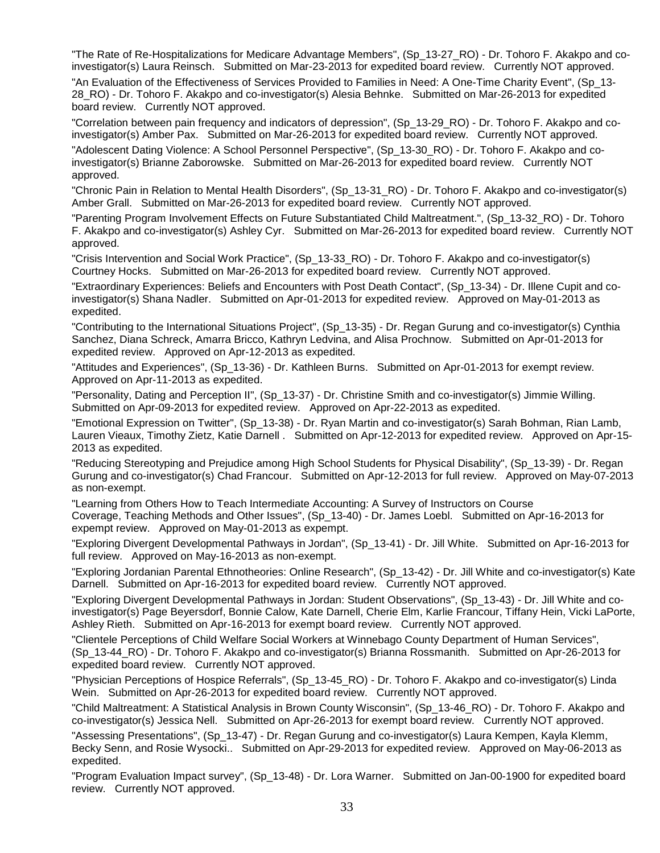"The Rate of Re-Hospitalizations for Medicare Advantage Members", (Sp\_13-27\_RO) - Dr. Tohoro F. Akakpo and coinvestigator(s) Laura Reinsch. Submitted on Mar-23-2013 for expedited board review. Currently NOT approved.

"An Evaluation of the Effectiveness of Services Provided to Families in Need: A One-Time Charity Event", (Sp\_13- 28 RO) - Dr. Tohoro F. Akakpo and co-investigator(s) Alesia Behnke. Submitted on Mar-26-2013 for expedited board review. Currently NOT approved.

"Correlation between pain frequency and indicators of depression", (Sp\_13-29\_RO) - Dr. Tohoro F. Akakpo and coinvestigator(s) Amber Pax. Submitted on Mar-26-2013 for expedited board review. Currently NOT approved.

"Adolescent Dating Violence: A School Personnel Perspective", (Sp\_13-30\_RO) - Dr. Tohoro F. Akakpo and coinvestigator(s) Brianne Zaborowske. Submitted on Mar-26-2013 for expedited board review. Currently NOT approved.

"Chronic Pain in Relation to Mental Health Disorders", (Sp\_13-31\_RO) - Dr. Tohoro F. Akakpo and co-investigator(s) Amber Grall. Submitted on Mar-26-2013 for expedited board review. Currently NOT approved.

"Parenting Program Involvement Effects on Future Substantiated Child Maltreatment.", (Sp\_13-32\_RO) - Dr. Tohoro F. Akakpo and co-investigator(s) Ashley Cyr. Submitted on Mar-26-2013 for expedited board review. Currently NOT approved.

"Crisis Intervention and Social Work Practice", (Sp\_13-33\_RO) - Dr. Tohoro F. Akakpo and co-investigator(s) Courtney Hocks. Submitted on Mar-26-2013 for expedited board review. Currently NOT approved.

"Extraordinary Experiences: Beliefs and Encounters with Post Death Contact", (Sp\_13-34) - Dr. Illene Cupit and coinvestigator(s) Shana Nadler. Submitted on Apr-01-2013 for expedited review. Approved on May-01-2013 as expedited.

"Contributing to the International Situations Project", (Sp\_13-35) - Dr. Regan Gurung and co-investigator(s) Cynthia Sanchez, Diana Schreck, Amarra Bricco, Kathryn Ledvina, and Alisa Prochnow. Submitted on Apr-01-2013 for expedited review. Approved on Apr-12-2013 as expedited.

"Attitudes and Experiences", (Sp\_13-36) - Dr. Kathleen Burns. Submitted on Apr-01-2013 for exempt review. Approved on Apr-11-2013 as expedited.

"Personality, Dating and Perception II", (Sp\_13-37) - Dr. Christine Smith and co-investigator(s) Jimmie Willing. Submitted on Apr-09-2013 for expedited review. Approved on Apr-22-2013 as expedited.

"Emotional Expression on Twitter", (Sp\_13-38) - Dr. Ryan Martin and co-investigator(s) Sarah Bohman, Rian Lamb, Lauren Vieaux, Timothy Zietz, Katie Darnell . Submitted on Apr-12-2013 for expedited review. Approved on Apr-15- 2013 as expedited.

"Reducing Stereotyping and Prejudice among High School Students for Physical Disability", (Sp\_13-39) - Dr. Regan Gurung and co-investigator(s) Chad Francour. Submitted on Apr-12-2013 for full review. Approved on May-07-2013 as non-exempt.

"Learning from Others How to Teach Intermediate Accounting: A Survey of Instructors on Course Coverage, Teaching Methods and Other Issues", (Sp\_13-40) - Dr. James Loebl. Submitted on Apr-16-2013 for expempt review. Approved on May-01-2013 as expempt.

"Exploring Divergent Developmental Pathways in Jordan", (Sp\_13-41) - Dr. Jill White. Submitted on Apr-16-2013 for full review. Approved on May-16-2013 as non-exempt.

"Exploring Jordanian Parental Ethnotheories: Online Research", (Sp\_13-42) - Dr. Jill White and co-investigator(s) Kate Darnell. Submitted on Apr-16-2013 for expedited board review. Currently NOT approved.

"Exploring Divergent Developmental Pathways in Jordan: Student Observations", (Sp\_13-43) - Dr. Jill White and coinvestigator(s) Page Beyersdorf, Bonnie Calow, Kate Darnell, Cherie Elm, Karlie Francour, Tiffany Hein, Vicki LaPorte, Ashley Rieth. Submitted on Apr-16-2013 for exempt board review. Currently NOT approved.

"Clientele Perceptions of Child Welfare Social Workers at Winnebago County Department of Human Services", (Sp\_13-44\_RO) - Dr. Tohoro F. Akakpo and co-investigator(s) Brianna Rossmanith. Submitted on Apr-26-2013 for expedited board review. Currently NOT approved.

"Physician Perceptions of Hospice Referrals", (Sp\_13-45\_RO) - Dr. Tohoro F. Akakpo and co-investigator(s) Linda Wein. Submitted on Apr-26-2013 for expedited board review. Currently NOT approved.

"Child Maltreatment: A Statistical Analysis in Brown County Wisconsin", (Sp\_13-46\_RO) - Dr. Tohoro F. Akakpo and co-investigator(s) Jessica Nell. Submitted on Apr-26-2013 for exempt board review. Currently NOT approved.

"Assessing Presentations", (Sp\_13-47) - Dr. Regan Gurung and co-investigator(s) Laura Kempen, Kayla Klemm, Becky Senn, and Rosie Wysocki.. Submitted on Apr-29-2013 for expedited review. Approved on May-06-2013 as expedited.

"Program Evaluation Impact survey", (Sp\_13-48) - Dr. Lora Warner. Submitted on Jan-00-1900 for expedited board review. Currently NOT approved.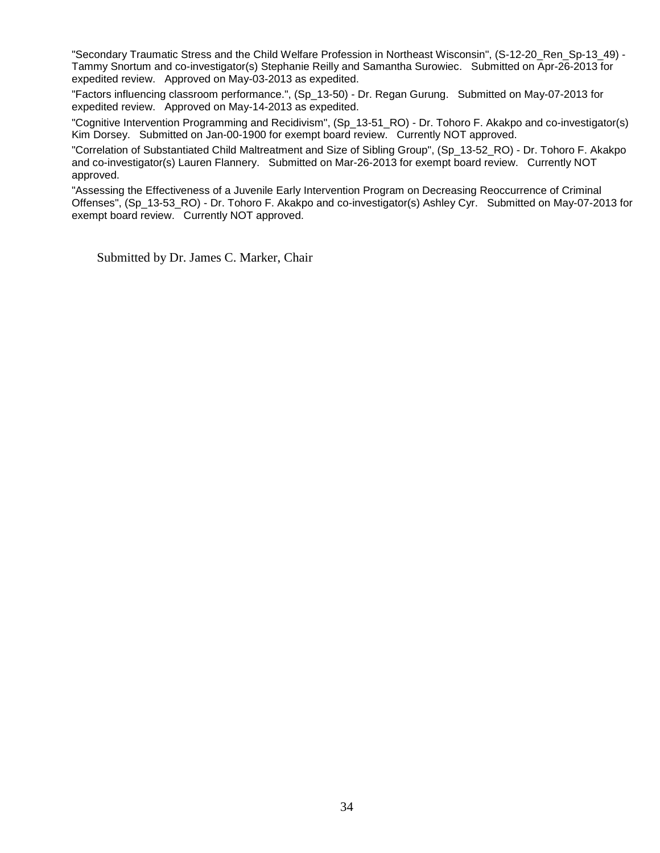"Secondary Traumatic Stress and the Child Welfare Profession in Northeast Wisconsin", (S-12-20\_Ren\_Sp-13\_49) - Tammy Snortum and co-investigator(s) Stephanie Reilly and Samantha Surowiec. Submitted on Apr-26-2013 for expedited review. Approved on May-03-2013 as expedited.

"Factors influencing classroom performance.", (Sp\_13-50) - Dr. Regan Gurung. Submitted on May-07-2013 for expedited review. Approved on May-14-2013 as expedited.

"Cognitive Intervention Programming and Recidivism", (Sp\_13-51\_RO) - Dr. Tohoro F. Akakpo and co-investigator(s) Kim Dorsey. Submitted on Jan-00-1900 for exempt board review. Currently NOT approved.

"Correlation of Substantiated Child Maltreatment and Size of Sibling Group", (Sp\_13-52\_RO) - Dr. Tohoro F. Akakpo and co-investigator(s) Lauren Flannery. Submitted on Mar-26-2013 for exempt board review. Currently NOT approved.

"Assessing the Effectiveness of a Juvenile Early Intervention Program on Decreasing Reoccurrence of Criminal Offenses", (Sp\_13-53\_RO) - Dr. Tohoro F. Akakpo and co-investigator(s) Ashley Cyr. Submitted on May-07-2013 for exempt board review. Currently NOT approved.

Submitted by Dr. James C. Marker, Chair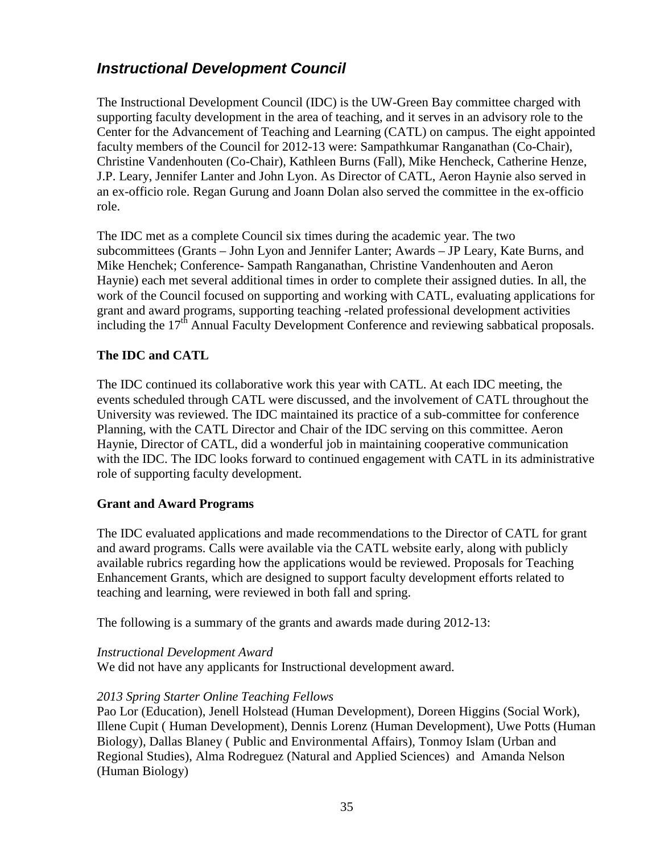# <span id="page-34-0"></span>*Instructional Development Council*

The Instructional Development Council (IDC) is the UW-Green Bay committee charged with supporting faculty development in the area of teaching, and it serves in an advisory role to the Center for the Advancement of Teaching and Learning (CATL) on campus. The eight appointed faculty members of the Council for 2012-13 were: Sampathkumar Ranganathan (Co-Chair), Christine Vandenhouten (Co-Chair), Kathleen Burns (Fall), Mike Hencheck, Catherine Henze, J.P. Leary, Jennifer Lanter and John Lyon. As Director of CATL, Aeron Haynie also served in an ex-officio role. Regan Gurung and Joann Dolan also served the committee in the ex-officio role.

The IDC met as a complete Council six times during the academic year. The two subcommittees (Grants – John Lyon and Jennifer Lanter; Awards – JP Leary, Kate Burns, and Mike Henchek; Conference- Sampath Ranganathan, Christine Vandenhouten and Aeron Haynie) each met several additional times in order to complete their assigned duties. In all, the work of the Council focused on supporting and working with CATL, evaluating applications for grant and award programs, supporting teaching -related professional development activities including the  $17<sup>th</sup>$  Annual Faculty Development Conference and reviewing sabbatical proposals.

### **The IDC and CATL**

The IDC continued its collaborative work this year with CATL. At each IDC meeting, the events scheduled through CATL were discussed, and the involvement of CATL throughout the University was reviewed. The IDC maintained its practice of a sub-committee for conference Planning, with the CATL Director and Chair of the IDC serving on this committee. Aeron Haynie, Director of CATL, did a wonderful job in maintaining cooperative communication with the IDC. The IDC looks forward to continued engagement with CATL in its administrative role of supporting faculty development.

#### **Grant and Award Programs**

The IDC evaluated applications and made recommendations to the Director of CATL for grant and award programs. Calls were available via the CATL website early, along with publicly available rubrics regarding how the applications would be reviewed. Proposals for Teaching Enhancement Grants, which are designed to support faculty development efforts related to teaching and learning, were reviewed in both fall and spring.

The following is a summary of the grants and awards made during 2012-13:

*Instructional Development Award*

We did not have any applicants for Instructional development award.

### *2013 Spring Starter Online Teaching Fellows*

Pao Lor (Education), Jenell Holstead (Human Development), Doreen Higgins (Social Work), Illene Cupit ( Human Development), Dennis Lorenz (Human Development), Uwe Potts (Human Biology), Dallas Blaney ( Public and Environmental Affairs), Tonmoy Islam (Urban and Regional Studies), Alma Rodreguez (Natural and Applied Sciences) and Amanda Nelson (Human Biology)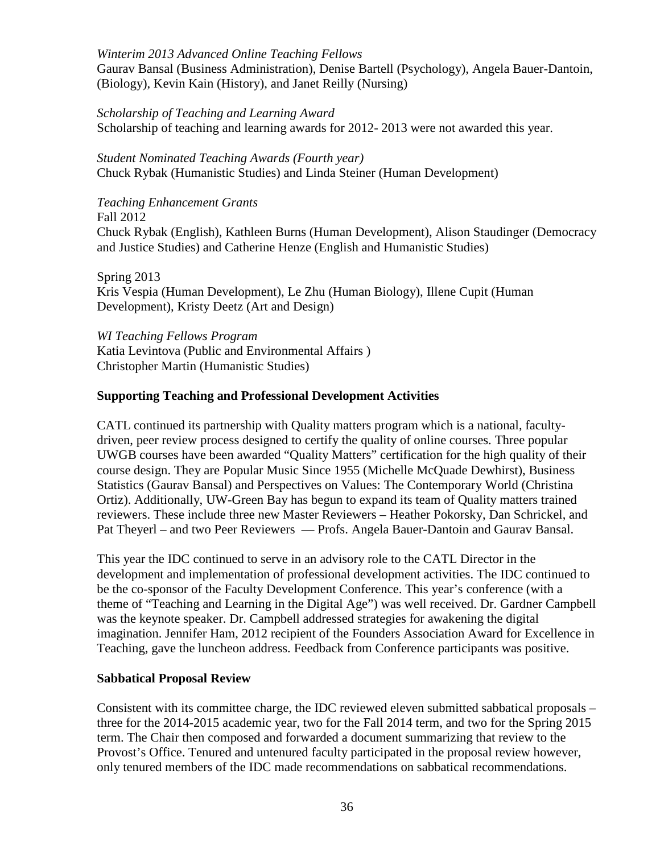#### *Winterim 2013 Advanced Online Teaching Fellows*

Gaurav Bansal (Business Administration), Denise Bartell (Psychology), Angela Bauer-Dantoin, (Biology), Kevin Kain (History), and Janet Reilly (Nursing)

#### *Scholarship of Teaching and Learning Award*

Scholarship of teaching and learning awards for 2012- 2013 were not awarded this year.

*Student Nominated Teaching Awards (Fourth year)* Chuck Rybak (Humanistic Studies) and Linda Steiner (Human Development)

*Teaching Enhancement Grants* Fall 2012 Chuck Rybak (English), Kathleen Burns (Human Development), Alison Staudinger (Democracy and Justice Studies) and Catherine Henze (English and Humanistic Studies)

Spring 2013 Kris Vespia (Human Development), Le Zhu (Human Biology), Illene Cupit (Human Development), Kristy Deetz (Art and Design)

*WI Teaching Fellows Program*

Katia Levintova (Public and Environmental Affairs ) Christopher Martin (Humanistic Studies)

### **Supporting Teaching and Professional Development Activities**

CATL continued its partnership with Quality matters program which is a national, facultydriven, peer review process designed to certify the quality of online courses. Three popular UWGB courses have been awarded "Quality Matters" certification for the high quality of their course design. They are Popular Music Since 1955 (Michelle McQuade Dewhirst), Business Statistics (Gaurav Bansal) and Perspectives on Values: The Contemporary World (Christina Ortiz). Additionally, UW-Green Bay has begun to expand its team of Quality matters trained reviewers. These include three new Master Reviewers – Heather Pokorsky, Dan Schrickel, and Pat Theyerl – and two Peer Reviewers — Profs. Angela Bauer-Dantoin and Gaurav Bansal.

This year the IDC continued to serve in an advisory role to the CATL Director in the development and implementation of professional development activities. The IDC continued to be the co-sponsor of the Faculty Development Conference. This year's conference (with a theme of "Teaching and Learning in the Digital Age") was well received. Dr. Gardner Campbell was the keynote speaker. Dr. Campbell addressed strategies for awakening the digital imagination. Jennifer Ham, 2012 recipient of the Founders Association Award for Excellence in Teaching, gave the luncheon address. Feedback from Conference participants was positive.

### **Sabbatical Proposal Review**

Consistent with its committee charge, the IDC reviewed eleven submitted sabbatical proposals – three for the 2014-2015 academic year, two for the Fall 2014 term, and two for the Spring 2015 term. The Chair then composed and forwarded a document summarizing that review to the Provost's Office. Tenured and untenured faculty participated in the proposal review however, only tenured members of the IDC made recommendations on sabbatical recommendations.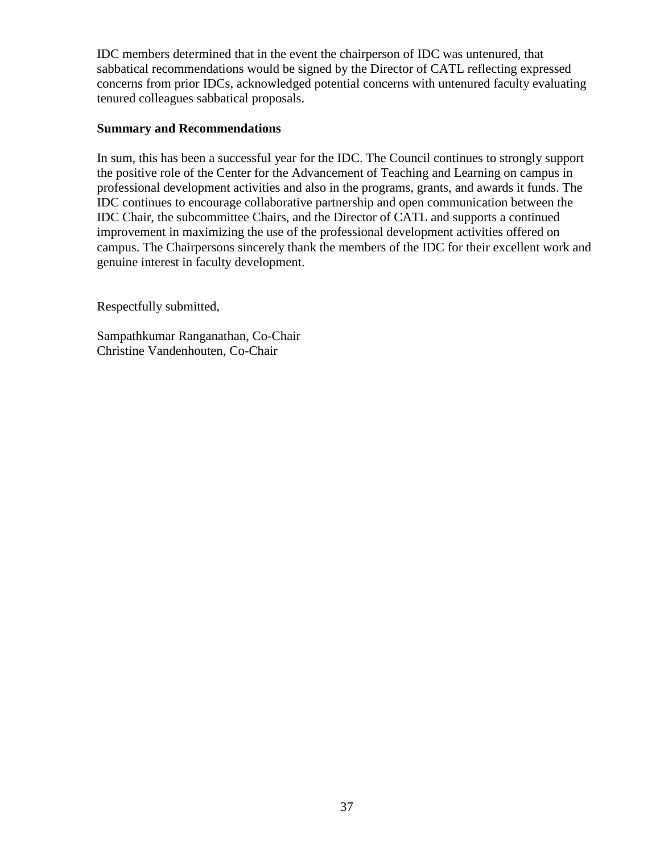IDC members determined that in the event the chairperson of IDC was untenured, that sabbatical recommendations would be signed by the Director of CATL reflecting expressed concerns from prior IDCs, acknowledged potential concerns with untenured faculty evaluating tenured colleagues sabbatical proposals.

#### **Summary and Recommendations**

In sum, this has been a successful year for the IDC. The Council continues to strongly support the positive role of the Center for the Advancement of Teaching and Learning on campus in professional development activities and also in the programs, grants, and awards it funds. The IDC continues to encourage collaborative partnership and open communication between the IDC Chair, the subcommittee Chairs, and the Director of CATL and supports a continued improvement in maximizing the use of the professional development activities offered on campus. The Chairpersons sincerely thank the members of the IDC for their excellent work and genuine interest in faculty development.

Respectfully submitted,

Sampathkumar Ranganathan, Co-Chair Christine Vandenhouten, Co-Chair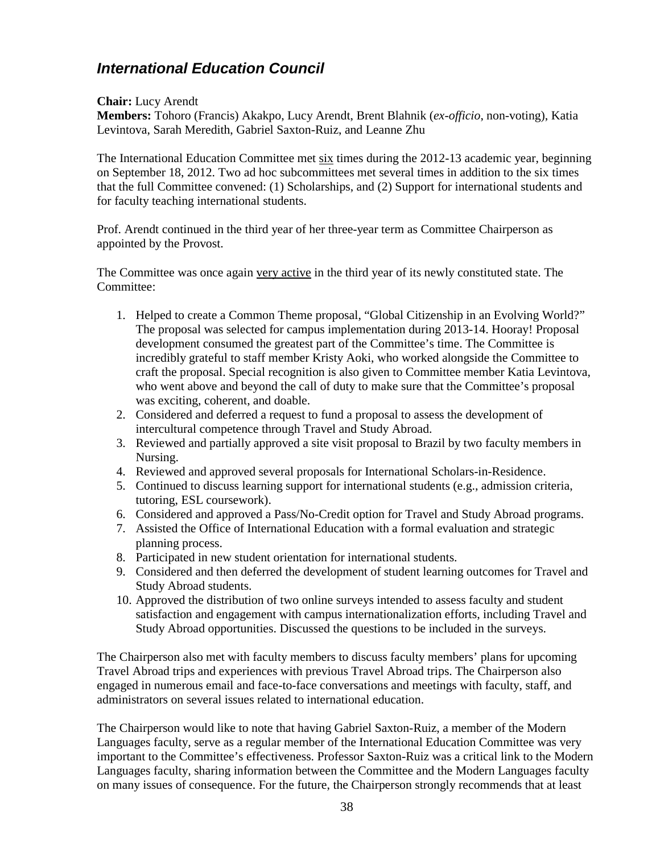# <span id="page-37-0"></span>*International Education Council*

**Chair:** Lucy Arendt

**Members:** Tohoro (Francis) Akakpo, Lucy Arendt, Brent Blahnik (*ex-officio*, non-voting), Katia Levintova, Sarah Meredith, Gabriel Saxton-Ruiz, and Leanne Zhu

The International Education Committee met six times during the 2012-13 academic year, beginning on September 18, 2012. Two ad hoc subcommittees met several times in addition to the six times that the full Committee convened: (1) Scholarships, and (2) Support for international students and for faculty teaching international students.

Prof. Arendt continued in the third year of her three-year term as Committee Chairperson as appointed by the Provost.

The Committee was once again very active in the third year of its newly constituted state. The Committee:

- 1. Helped to create a Common Theme proposal, "Global Citizenship in an Evolving World?" The proposal was selected for campus implementation during 2013-14. Hooray! Proposal development consumed the greatest part of the Committee's time. The Committee is incredibly grateful to staff member Kristy Aoki, who worked alongside the Committee to craft the proposal. Special recognition is also given to Committee member Katia Levintova, who went above and beyond the call of duty to make sure that the Committee's proposal was exciting, coherent, and doable.
- 2. Considered and deferred a request to fund a proposal to assess the development of intercultural competence through Travel and Study Abroad.
- 3. Reviewed and partially approved a site visit proposal to Brazil by two faculty members in Nursing.
- 4. Reviewed and approved several proposals for International Scholars-in-Residence.
- 5. Continued to discuss learning support for international students (e.g., admission criteria, tutoring, ESL coursework).
- 6. Considered and approved a Pass/No-Credit option for Travel and Study Abroad programs.
- 7. Assisted the Office of International Education with a formal evaluation and strategic planning process.
- 8. Participated in new student orientation for international students.
- 9. Considered and then deferred the development of student learning outcomes for Travel and Study Abroad students.
- 10. Approved the distribution of two online surveys intended to assess faculty and student satisfaction and engagement with campus internationalization efforts, including Travel and Study Abroad opportunities. Discussed the questions to be included in the surveys.

The Chairperson also met with faculty members to discuss faculty members' plans for upcoming Travel Abroad trips and experiences with previous Travel Abroad trips. The Chairperson also engaged in numerous email and face-to-face conversations and meetings with faculty, staff, and administrators on several issues related to international education.

The Chairperson would like to note that having Gabriel Saxton-Ruiz, a member of the Modern Languages faculty, serve as a regular member of the International Education Committee was very important to the Committee's effectiveness. Professor Saxton-Ruiz was a critical link to the Modern Languages faculty, sharing information between the Committee and the Modern Languages faculty on many issues of consequence. For the future, the Chairperson strongly recommends that at least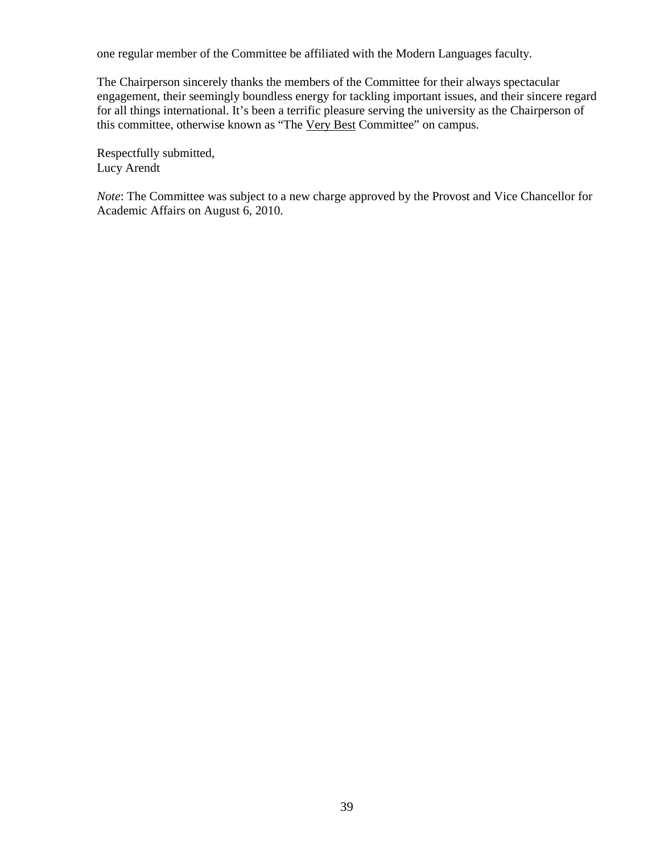one regular member of the Committee be affiliated with the Modern Languages faculty.

The Chairperson sincerely thanks the members of the Committee for their always spectacular engagement, their seemingly boundless energy for tackling important issues, and their sincere regard for all things international. It's been a terrific pleasure serving the university as the Chairperson of this committee, otherwise known as "The Very Best Committee" on campus.

Respectfully submitted, Lucy Arendt

*Note*: The Committee was subject to a new charge approved by the Provost and Vice Chancellor for Academic Affairs on August 6, 2010.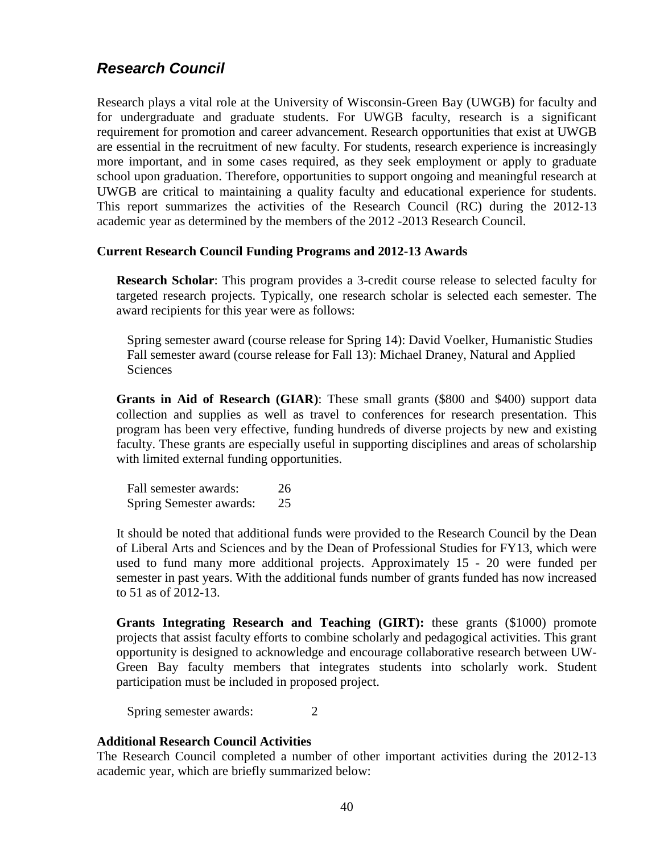### <span id="page-39-0"></span>*Research Council*

Research plays a vital role at the University of Wisconsin-Green Bay (UWGB) for faculty and for undergraduate and graduate students. For UWGB faculty, research is a significant requirement for promotion and career advancement. Research opportunities that exist at UWGB are essential in the recruitment of new faculty. For students, research experience is increasingly more important, and in some cases required, as they seek employment or apply to graduate school upon graduation. Therefore, opportunities to support ongoing and meaningful research at UWGB are critical to maintaining a quality faculty and educational experience for students. This report summarizes the activities of the Research Council (RC) during the 2012-13 academic year as determined by the members of the 2012 -2013 Research Council.

#### **Current Research Council Funding Programs and 2012-13 Awards**

**Research Scholar**: This program provides a 3-credit course release to selected faculty for targeted research projects. Typically, one research scholar is selected each semester. The award recipients for this year were as follows:

Spring semester award (course release for Spring 14): David Voelker, Humanistic Studies Fall semester award (course release for Fall 13): Michael Draney, Natural and Applied Sciences

**Grants in Aid of Research (GIAR)**: These small grants (\$800 and \$400) support data collection and supplies as well as travel to conferences for research presentation. This program has been very effective, funding hundreds of diverse projects by new and existing faculty. These grants are especially useful in supporting disciplines and areas of scholarship with limited external funding opportunities.

Fall semester awards: 26 Spring Semester awards: 25

It should be noted that additional funds were provided to the Research Council by the Dean of Liberal Arts and Sciences and by the Dean of Professional Studies for FY13, which were used to fund many more additional projects. Approximately 15 - 20 were funded per semester in past years. With the additional funds number of grants funded has now increased to 51 as of 2012-13.

**Grants Integrating Research and Teaching (GIRT):** these grants (\$1000) promote projects that assist faculty efforts to combine scholarly and pedagogical activities. This grant opportunity is designed to acknowledge and encourage collaborative research between UW-Green Bay faculty members that integrates students into scholarly work. Student participation must be included in proposed project.

Spring semester awards: 2

#### **Additional Research Council Activities**

The Research Council completed a number of other important activities during the 2012-13 academic year, which are briefly summarized below: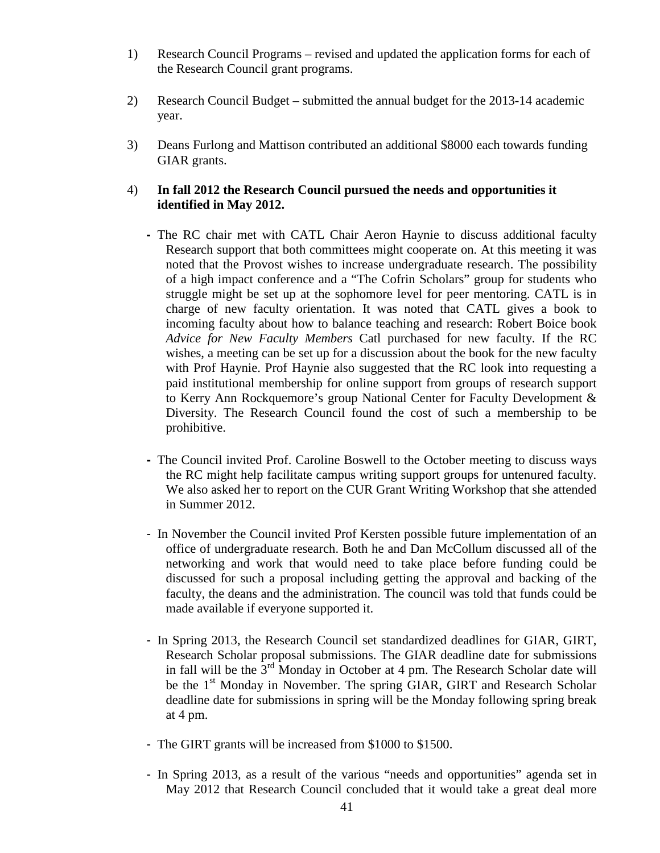- 1) Research Council Programs revised and updated the application forms for each of the Research Council grant programs.
- 2) Research Council Budget submitted the annual budget for the 2013-14 academic year.
- 3) Deans Furlong and Mattison contributed an additional \$8000 each towards funding GIAR grants.

### 4) **In fall 2012 the Research Council pursued the needs and opportunities it identified in May 2012.**

- **-** The RC chair met with CATL Chair Aeron Haynie to discuss additional faculty Research support that both committees might cooperate on. At this meeting it was noted that the Provost wishes to increase undergraduate research. The possibility of a high impact conference and a "The Cofrin Scholars" group for students who struggle might be set up at the sophomore level for peer mentoring. CATL is in charge of new faculty orientation. It was noted that CATL gives a book to incoming faculty about how to balance teaching and research: Robert Boice book *Advice for New Faculty Members* Catl purchased for new faculty. If the RC wishes, a meeting can be set up for a discussion about the book for the new faculty with Prof Haynie. Prof Haynie also suggested that the RC look into requesting a paid institutional membership for online support from groups of research support to Kerry Ann Rockquemore's group National Center for Faculty Development & Diversity. The Research Council found the cost of such a membership to be prohibitive.
- **-** The Council invited Prof. Caroline Boswell to the October meeting to discuss ways the RC might help facilitate campus writing support groups for untenured faculty. We also asked her to report on the CUR Grant Writing Workshop that she attended in Summer 2012.
- In November the Council invited Prof Kersten possible future implementation of an office of undergraduate research. Both he and Dan McCollum discussed all of the networking and work that would need to take place before funding could be discussed for such a proposal including getting the approval and backing of the faculty, the deans and the administration. The council was told that funds could be made available if everyone supported it.
- In Spring 2013, the Research Council set standardized deadlines for GIAR, GIRT, Research Scholar proposal submissions. The GIAR deadline date for submissions in fall will be the  $3<sup>rd</sup>$  Monday in October at 4 pm. The Research Scholar date will be the 1<sup>st</sup> Monday in November. The spring GIAR, GIRT and Research Scholar deadline date for submissions in spring will be the Monday following spring break at 4 pm.
- The GIRT grants will be increased from \$1000 to \$1500.
- In Spring 2013, as a result of the various "needs and opportunities" agenda set in May 2012 that Research Council concluded that it would take a great deal more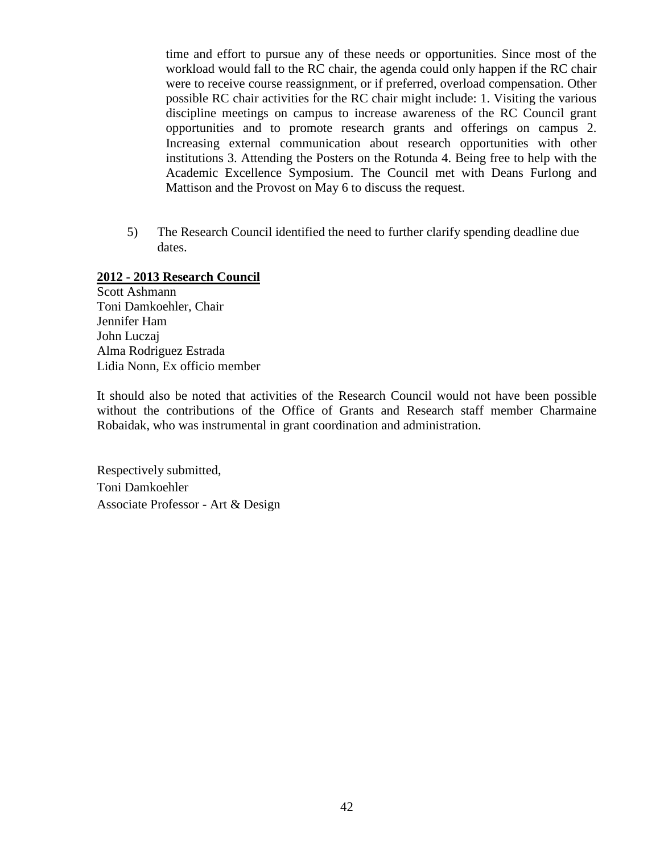time and effort to pursue any of these needs or opportunities. Since most of the workload would fall to the RC chair, the agenda could only happen if the RC chair were to receive course reassignment, or if preferred, overload compensation. Other possible RC chair activities for the RC chair might include: 1. Visiting the various discipline meetings on campus to increase awareness of the RC Council grant opportunities and to promote research grants and offerings on campus 2. Increasing external communication about research opportunities with other institutions 3. Attending the Posters on the Rotunda 4. Being free to help with the Academic Excellence Symposium. The Council met with Deans Furlong and Mattison and the Provost on May 6 to discuss the request.

5) The Research Council identified the need to further clarify spending deadline due dates.

#### **2012 - 2013 Research Council**

Scott Ashmann Toni Damkoehler, Chair Jennifer Ham John Luczaj Alma Rodriguez Estrada Lidia Nonn, Ex officio member

It should also be noted that activities of the Research Council would not have been possible without the contributions of the Office of Grants and Research staff member Charmaine Robaidak, who was instrumental in grant coordination and administration.

Respectively submitted, Toni Damkoehler Associate Professor - Art & Design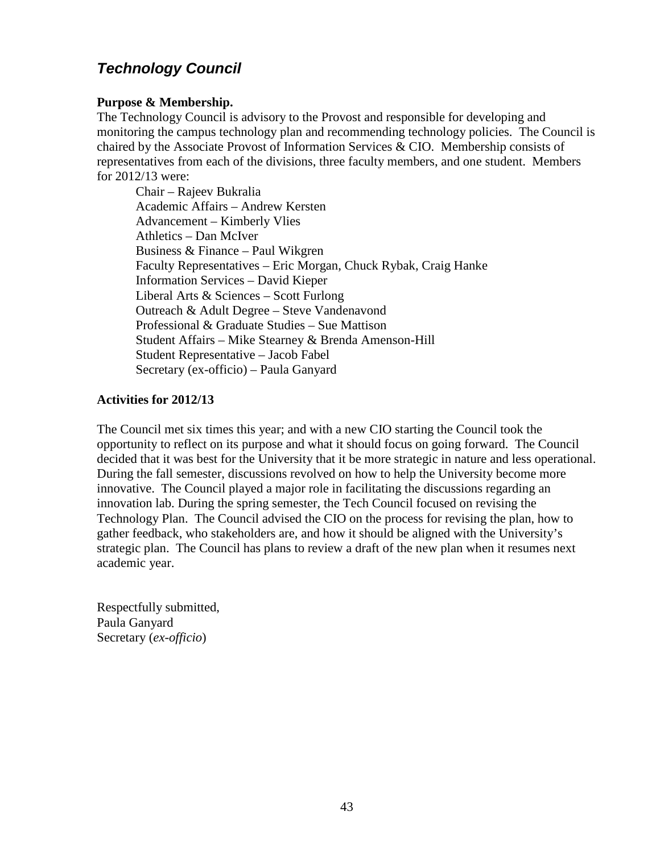# <span id="page-42-0"></span>*Technology Council*

### **Purpose & Membership.**

The Technology Council is advisory to the Provost and responsible for developing and monitoring the campus technology plan and recommending technology policies. The Council is chaired by the Associate Provost of Information Services & CIO. Membership consists of representatives from each of the divisions, three faculty members, and one student. Members for 2012/13 were:

Chair – Rajeev Bukralia Academic Affairs – Andrew Kersten Advancement – Kimberly Vlies Athletics – Dan McIver Business & Finance – Paul Wikgren Faculty Representatives – Eric Morgan, Chuck Rybak, Craig Hanke Information Services – David Kieper Liberal Arts & Sciences – Scott Furlong Outreach & Adult Degree – Steve Vandenavond Professional & Graduate Studies – Sue Mattison Student Affairs – Mike Stearney & Brenda Amenson-Hill Student Representative – Jacob Fabel Secretary (ex-officio) – Paula Ganyard

### **Activities for 2012/13**

The Council met six times this year; and with a new CIO starting the Council took the opportunity to reflect on its purpose and what it should focus on going forward. The Council decided that it was best for the University that it be more strategic in nature and less operational. During the fall semester, discussions revolved on how to help the University become more innovative. The Council played a major role in facilitating the discussions regarding an innovation lab. During the spring semester, the Tech Council focused on revising the Technology Plan. The Council advised the CIO on the process for revising the plan, how to gather feedback, who stakeholders are, and how it should be aligned with the University's strategic plan. The Council has plans to review a draft of the new plan when it resumes next academic year.

Respectfully submitted, Paula Ganyard Secretary (*ex-officio*)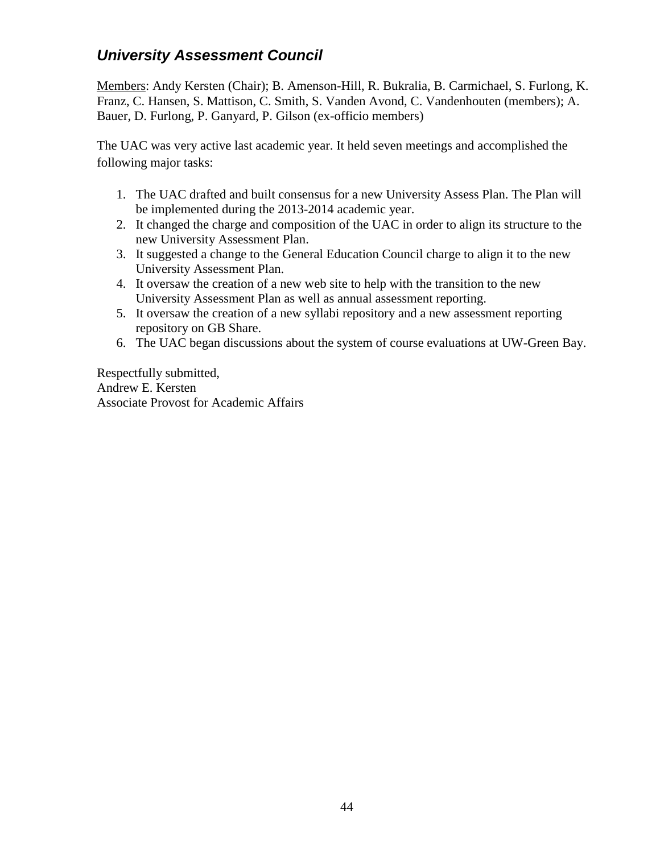# <span id="page-43-0"></span>*University Assessment Council*

Members: Andy Kersten (Chair); B. Amenson-Hill, R. Bukralia, B. Carmichael, S. Furlong, K. Franz, C. Hansen, S. Mattison, C. Smith, S. Vanden Avond, C. Vandenhouten (members); A. Bauer, D. Furlong, P. Ganyard, P. Gilson (ex-officio members)

The UAC was very active last academic year. It held seven meetings and accomplished the following major tasks:

- 1. The UAC drafted and built consensus for a new University Assess Plan. The Plan will be implemented during the 2013-2014 academic year.
- 2. It changed the charge and composition of the UAC in order to align its structure to the new University Assessment Plan.
- 3. It suggested a change to the General Education Council charge to align it to the new University Assessment Plan.
- 4. It oversaw the creation of a new web site to help with the transition to the new University Assessment Plan as well as annual assessment reporting.
- 5. It oversaw the creation of a new syllabi repository and a new assessment reporting repository on GB Share.
- 6. The UAC began discussions about the system of course evaluations at UW-Green Bay.

Respectfully submitted, Andrew E. Kersten Associate Provost for Academic Affairs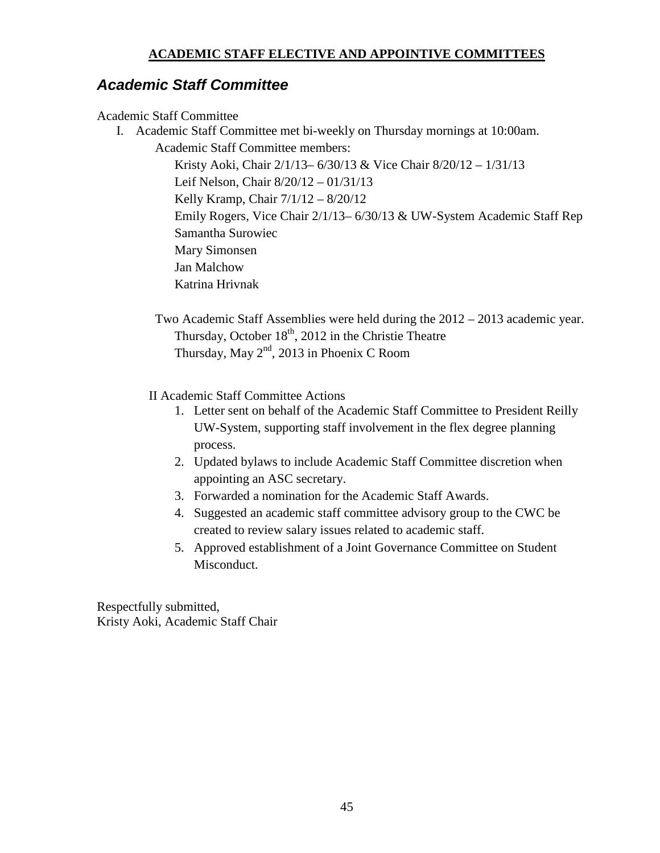### **ACADEMIC STAFF ELECTIVE AND APPOINTIVE COMMITTEES**

### <span id="page-44-1"></span><span id="page-44-0"></span>*Academic Staff Committee*

### Academic Staff Committee

I. Academic Staff Committee met bi-weekly on Thursday mornings at 10:00am. Academic Staff Committee members:

> Kristy Aoki, Chair 2/1/13– 6/30/13 & Vice Chair 8/20/12 – 1/31/13 Leif Nelson, Chair 8/20/12 – 01/31/13 Kelly Kramp, Chair 7/1/12 – 8/20/12 Emily Rogers, Vice Chair 2/1/13– 6/30/13 & UW-System Academic Staff Rep Samantha Surowiec Mary Simonsen Jan Malchow Katrina Hrivnak

Two Academic Staff Assemblies were held during the 2012 – 2013 academic year. Thursday, October  $18<sup>th</sup>$ , 2012 in the Christie Theatre Thursday, May  $2<sup>nd</sup>$ , 2013 in Phoenix C Room

### II Academic Staff Committee Actions

- 1. Letter sent on behalf of the Academic Staff Committee to President Reilly UW-System, supporting staff involvement in the flex degree planning process.
- 2. Updated bylaws to include Academic Staff Committee discretion when appointing an ASC secretary.
- 3. Forwarded a nomination for the Academic Staff Awards.
- 4. Suggested an academic staff committee advisory group to the CWC be created to review salary issues related to academic staff.
- 5. Approved establishment of a Joint Governance Committee on Student Misconduct.

Respectfully submitted, Kristy Aoki, Academic Staff Chair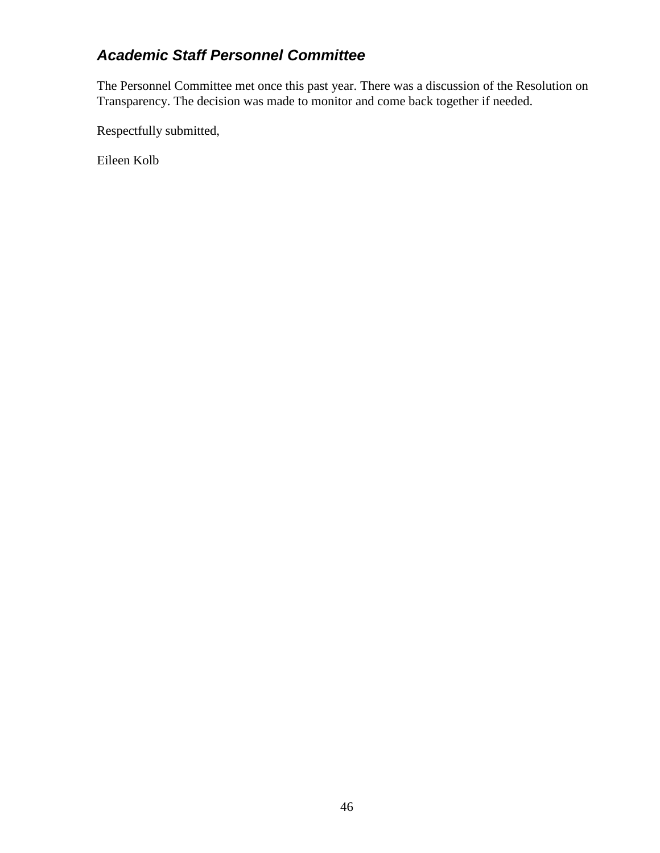# <span id="page-45-0"></span>*Academic Staff Personnel Committee*

The Personnel Committee met once this past year. There was a discussion of the Resolution on Transparency. The decision was made to monitor and come back together if needed.

Respectfully submitted,

Eileen Kolb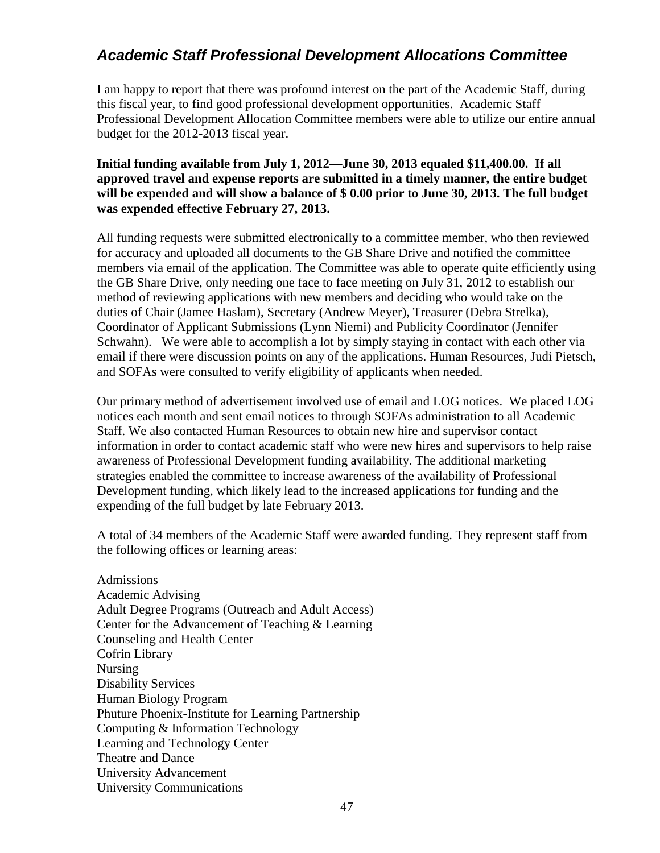# <span id="page-46-0"></span>*Academic Staff Professional Development Allocations Committee*

I am happy to report that there was profound interest on the part of the Academic Staff, during this fiscal year, to find good professional development opportunities. Academic Staff Professional Development Allocation Committee members were able to utilize our entire annual budget for the 2012-2013 fiscal year.

### **Initial funding available from July 1, 2012—June 30, 2013 equaled \$11,400.00. If all approved travel and expense reports are submitted in a timely manner, the entire budget will be expended and will show a balance of \$ 0.00 prior to June 30, 2013. The full budget was expended effective February 27, 2013.**

All funding requests were submitted electronically to a committee member, who then reviewed for accuracy and uploaded all documents to the GB Share Drive and notified the committee members via email of the application. The Committee was able to operate quite efficiently using the GB Share Drive, only needing one face to face meeting on July 31, 2012 to establish our method of reviewing applications with new members and deciding who would take on the duties of Chair (Jamee Haslam), Secretary (Andrew Meyer), Treasurer (Debra Strelka), Coordinator of Applicant Submissions (Lynn Niemi) and Publicity Coordinator (Jennifer Schwahn). We were able to accomplish a lot by simply staying in contact with each other via email if there were discussion points on any of the applications. Human Resources, Judi Pietsch, and SOFAs were consulted to verify eligibility of applicants when needed.

Our primary method of advertisement involved use of email and LOG notices. We placed LOG notices each month and sent email notices to through SOFAs administration to all Academic Staff. We also contacted Human Resources to obtain new hire and supervisor contact information in order to contact academic staff who were new hires and supervisors to help raise awareness of Professional Development funding availability. The additional marketing strategies enabled the committee to increase awareness of the availability of Professional Development funding, which likely lead to the increased applications for funding and the expending of the full budget by late February 2013.

A total of 34 members of the Academic Staff were awarded funding. They represent staff from the following offices or learning areas:

Admissions Academic Advising Adult Degree Programs (Outreach and Adult Access) Center for the Advancement of Teaching & Learning Counseling and Health Center Cofrin Library Nursing Disability Services Human Biology Program Phuture Phoenix-Institute for Learning Partnership Computing & Information Technology Learning and Technology Center Theatre and Dance University Advancement University Communications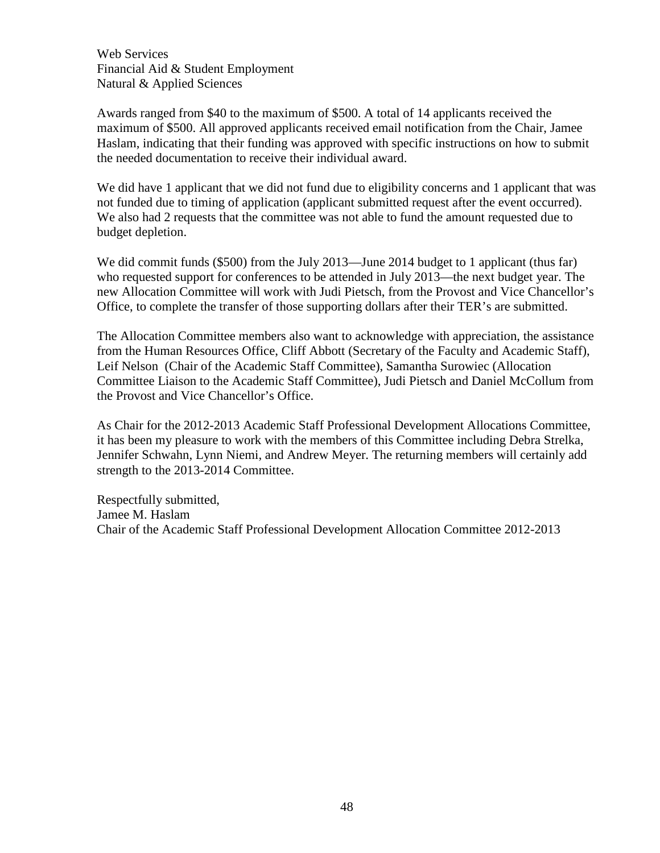Web Services Financial Aid & Student Employment Natural & Applied Sciences

Awards ranged from \$40 to the maximum of \$500. A total of 14 applicants received the maximum of \$500. All approved applicants received email notification from the Chair, Jamee Haslam, indicating that their funding was approved with specific instructions on how to submit the needed documentation to receive their individual award.

We did have 1 applicant that we did not fund due to eligibility concerns and 1 applicant that was not funded due to timing of application (applicant submitted request after the event occurred). We also had 2 requests that the committee was not able to fund the amount requested due to budget depletion.

We did commit funds (\$500) from the July 2013—June 2014 budget to 1 applicant (thus far) who requested support for conferences to be attended in July 2013—the next budget year. The new Allocation Committee will work with Judi Pietsch, from the Provost and Vice Chancellor's Office, to complete the transfer of those supporting dollars after their TER's are submitted.

The Allocation Committee members also want to acknowledge with appreciation, the assistance from the Human Resources Office, Cliff Abbott (Secretary of the Faculty and Academic Staff), Leif Nelson (Chair of the Academic Staff Committee), Samantha Surowiec (Allocation Committee Liaison to the Academic Staff Committee), Judi Pietsch and Daniel McCollum from the Provost and Vice Chancellor's Office.

As Chair for the 2012-2013 Academic Staff Professional Development Allocations Committee, it has been my pleasure to work with the members of this Committee including Debra Strelka, Jennifer Schwahn, Lynn Niemi, and Andrew Meyer. The returning members will certainly add strength to the 2013-2014 Committee.

Respectfully submitted, Jamee M. Haslam Chair of the Academic Staff Professional Development Allocation Committee 2012-2013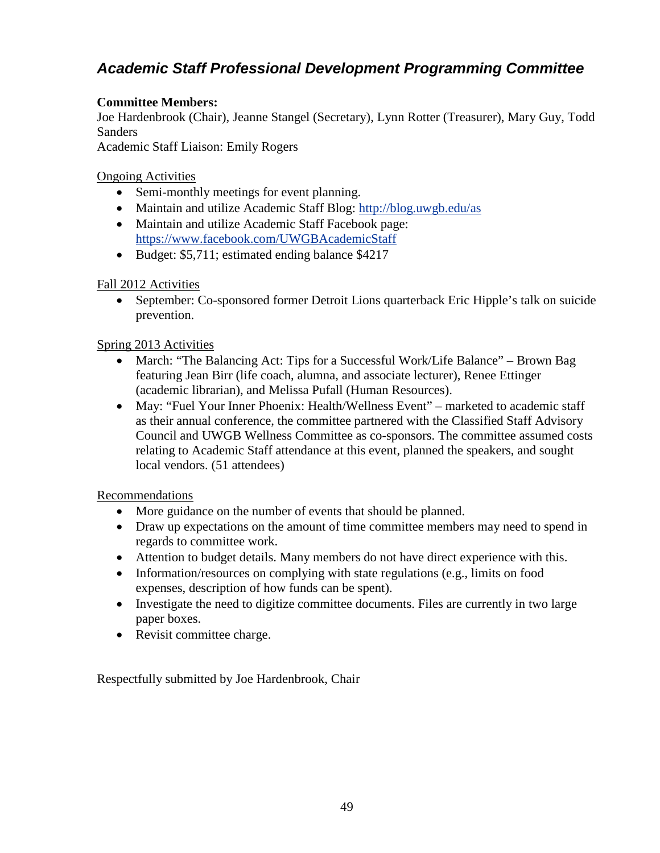# <span id="page-48-0"></span>*Academic Staff Professional Development Programming Committee*

### **Committee Members:**

Joe Hardenbrook (Chair), Jeanne Stangel (Secretary), Lynn Rotter (Treasurer), Mary Guy, Todd Sanders

Academic Staff Liaison: Emily Rogers

**Ongoing Activities** 

- Semi-monthly meetings for event planning.
- Maintain and utilize Academic Staff Blog:<http://blog.uwgb.edu/as>
- Maintain and utilize Academic Staff Facebook page: <https://www.facebook.com/UWGBAcademicStaff>
- Budget: \$5,711; estimated ending balance \$4217

### Fall 2012 Activities

• September: Co-sponsored former Detroit Lions quarterback Eric Hipple's talk on suicide prevention.

### Spring 2013 Activities

- March: "The Balancing Act: Tips for a Successful Work/Life Balance" Brown Bag featuring Jean Birr (life coach, alumna, and associate lecturer), Renee Ettinger (academic librarian), and Melissa Pufall (Human Resources).
- May: "Fuel Your Inner Phoenix: Health/Wellness Event" marketed to academic staff as their annual conference, the committee partnered with the Classified Staff Advisory Council and UWGB Wellness Committee as co-sponsors. The committee assumed costs relating to Academic Staff attendance at this event, planned the speakers, and sought local vendors. (51 attendees)

Recommendations

- More guidance on the number of events that should be planned.
- Draw up expectations on the amount of time committee members may need to spend in regards to committee work.
- Attention to budget details. Many members do not have direct experience with this.
- Information/resources on complying with state regulations (e.g., limits on food expenses, description of how funds can be spent).
- Investigate the need to digitize committee documents. Files are currently in two large paper boxes.
- Revisit committee charge.

Respectfully submitted by Joe Hardenbrook, Chair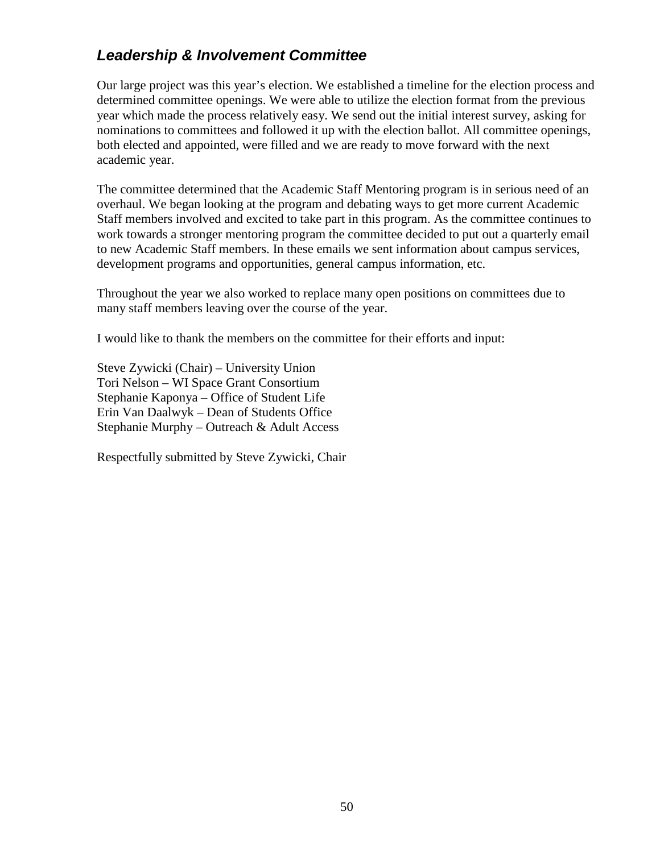# <span id="page-49-0"></span>*Leadership & Involvement Committee*

Our large project was this year's election. We established a timeline for the election process and determined committee openings. We were able to utilize the election format from the previous year which made the process relatively easy. We send out the initial interest survey, asking for nominations to committees and followed it up with the election ballot. All committee openings, both elected and appointed, were filled and we are ready to move forward with the next academic year.

The committee determined that the Academic Staff Mentoring program is in serious need of an overhaul. We began looking at the program and debating ways to get more current Academic Staff members involved and excited to take part in this program. As the committee continues to work towards a stronger mentoring program the committee decided to put out a quarterly email to new Academic Staff members. In these emails we sent information about campus services, development programs and opportunities, general campus information, etc.

Throughout the year we also worked to replace many open positions on committees due to many staff members leaving over the course of the year.

I would like to thank the members on the committee for their efforts and input:

Steve Zywicki (Chair) – University Union Tori Nelson – WI Space Grant Consortium Stephanie Kaponya – Office of Student Life Erin Van Daalwyk – Dean of Students Office Stephanie Murphy – Outreach & Adult Access

Respectfully submitted by Steve Zywicki, Chair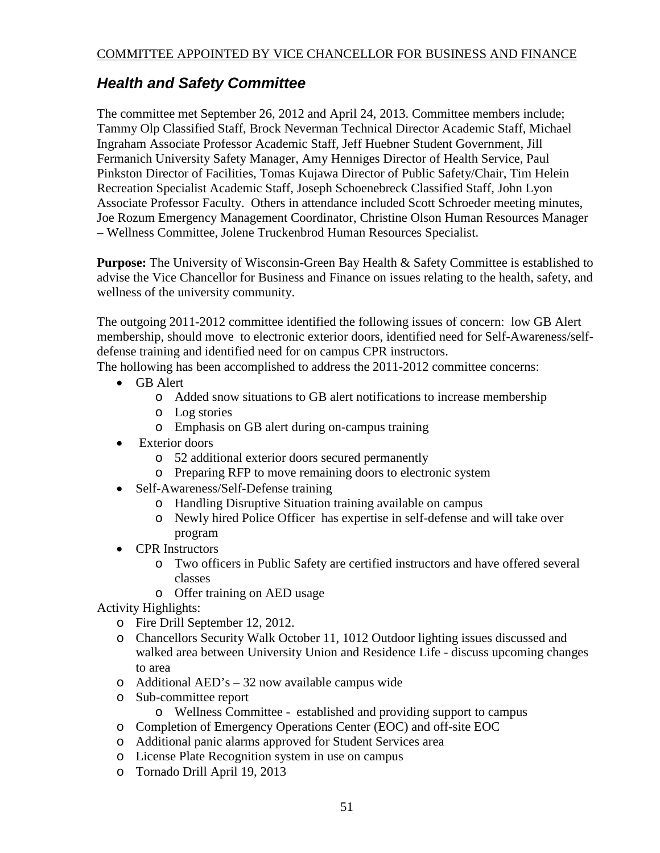# <span id="page-50-1"></span><span id="page-50-0"></span>*Health and Safety Committee*

The committee met September 26, 2012 and April 24, 2013. Committee members include; Tammy Olp Classified Staff, Brock Neverman Technical Director Academic Staff, Michael Ingraham Associate Professor Academic Staff, Jeff Huebner Student Government, Jill Fermanich University Safety Manager, Amy Henniges Director of Health Service, Paul Pinkston Director of Facilities, Tomas Kujawa Director of Public Safety/Chair, Tim Helein Recreation Specialist Academic Staff, Joseph Schoenebreck Classified Staff, John Lyon Associate Professor Faculty. Others in attendance included Scott Schroeder meeting minutes, Joe Rozum Emergency Management Coordinator, Christine Olson Human Resources Manager – Wellness Committee, Jolene Truckenbrod Human Resources Specialist.

**Purpose:** The University of Wisconsin-Green Bay Health & Safety Committee is established to advise the Vice Chancellor for Business and Finance on issues relating to the health, safety, and wellness of the university community.

The outgoing 2011-2012 committee identified the following issues of concern: low GB Alert membership, should move to electronic exterior doors, identified need for Self-Awareness/selfdefense training and identified need for on campus CPR instructors.

The hollowing has been accomplished to address the 2011-2012 committee concerns:

- GB Alert
	- o Added snow situations to GB alert notifications to increase membership
	- o Log stories
	- o Emphasis on GB alert during on-campus training
- Exterior doors
	- o 52 additional exterior doors secured permanently
	- o Preparing RFP to move remaining doors to electronic system
- Self-Awareness/Self-Defense training
	- o Handling Disruptive Situation training available on campus
	- o Newly hired Police Officer has expertise in self-defense and will take over program
- **CPR** Instructors
	- o Two officers in Public Safety are certified instructors and have offered several classes
	- o Offer training on AED usage

Activity Highlights:

- o Fire Drill September 12, 2012.
- o Chancellors Security Walk October 11, 1012 Outdoor lighting issues discussed and walked area between University Union and Residence Life - discuss upcoming changes to area
- o Additional AED's 32 now available campus wide
- o Sub-committee report
	- o Wellness Committee established and providing support to campus
- o Completion of Emergency Operations Center (EOC) and off-site EOC
- o Additional panic alarms approved for Student Services area
- o License Plate Recognition system in use on campus
- o Tornado Drill April 19, 2013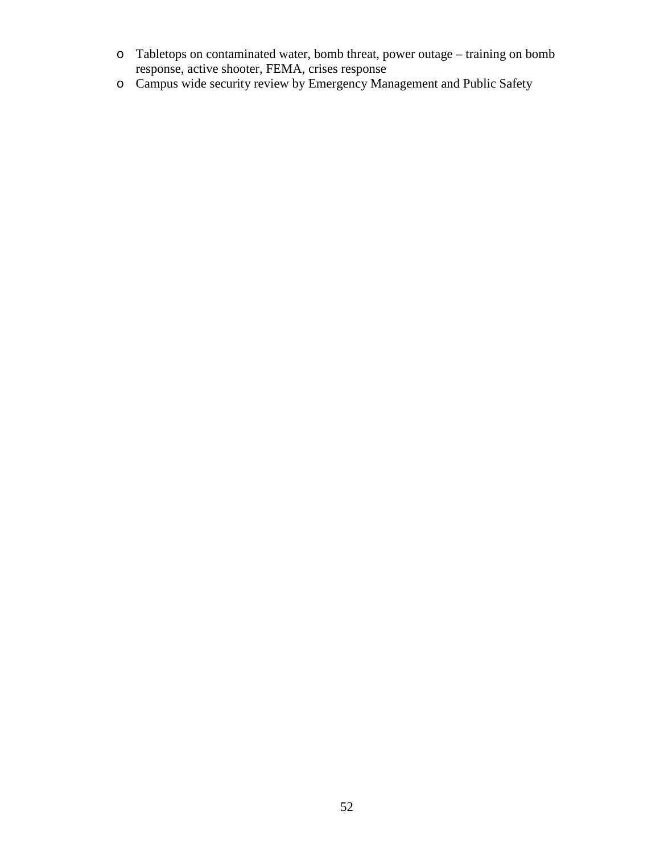- o Tabletops on contaminated water, bomb threat, power outage training on bomb response, active shooter, FEMA, crises response
- o Campus wide security review by Emergency Management and Public Safety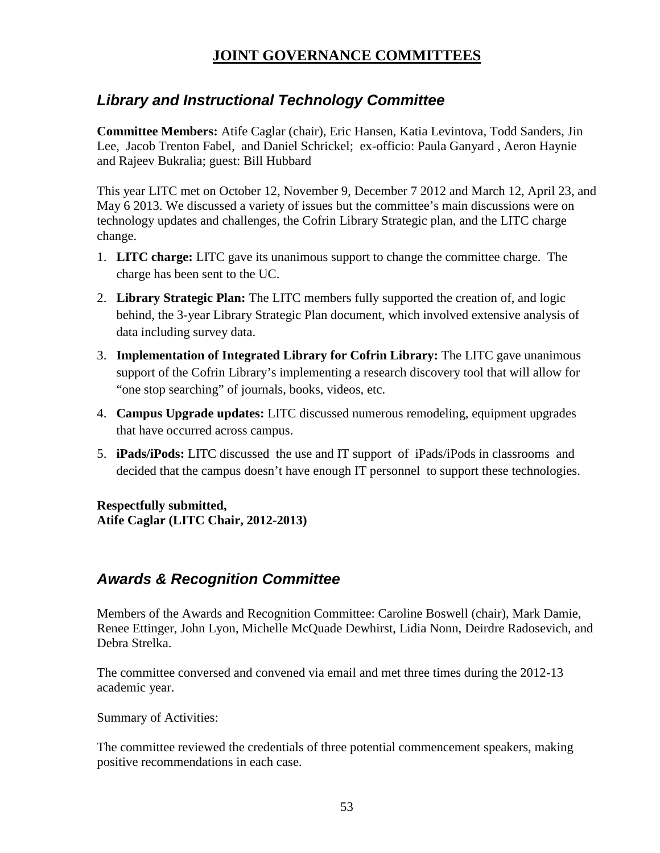### **JOINT GOVERNANCE COMMITTEES**

### <span id="page-52-1"></span><span id="page-52-0"></span>*Library and Instructional Technology Committee*

**Committee Members:** Atife Caglar (chair), Eric Hansen, Katia Levintova, Todd Sanders, Jin Lee, Jacob Trenton Fabel, and Daniel Schrickel; ex-officio: Paula Ganyard , Aeron Haynie and Rajeev Bukralia; guest: Bill Hubbard

This year LITC met on October 12, November 9, December 7 2012 and March 12, April 23, and May 6 2013. We discussed a variety of issues but the committee's main discussions were on technology updates and challenges, the Cofrin Library Strategic plan, and the LITC charge change.

- 1. **LITC charge:** LITC gave its unanimous support to change the committee charge. The charge has been sent to the UC.
- 2. **Library Strategic Plan:** The LITC members fully supported the creation of, and logic behind, the 3-year Library Strategic Plan document, which involved extensive analysis of data including survey data.
- 3. **Implementation of Integrated Library for Cofrin Library:** The LITC gave unanimous support of the Cofrin Library's implementing a research discovery tool that will allow for "one stop searching" of journals, books, videos, etc.
- 4. **Campus Upgrade updates:** LITC discussed numerous remodeling, equipment upgrades that have occurred across campus.
- 5. **iPads/iPods:** LITC discussed the use and IT support of iPads/iPods in classrooms and decided that the campus doesn't have enough IT personnel to support these technologies.

### **Respectfully submitted, Atife Caglar (LITC Chair, 2012-2013)**

### <span id="page-52-2"></span>*Awards & Recognition Committee*

Members of the Awards and Recognition Committee: Caroline Boswell (chair), Mark Damie, Renee Ettinger, John Lyon, Michelle McQuade Dewhirst, Lidia Nonn, Deirdre Radosevich, and Debra Strelka.

The committee conversed and convened via email and met three times during the 2012-13 academic year.

Summary of Activities:

The committee reviewed the credentials of three potential commencement speakers, making positive recommendations in each case.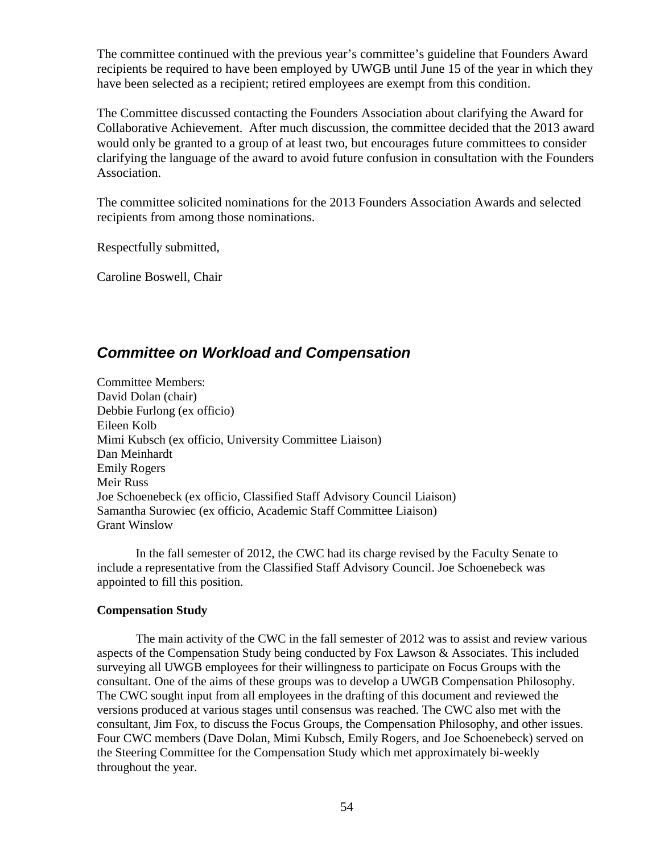The committee continued with the previous year's committee's guideline that Founders Award recipients be required to have been employed by UWGB until June 15 of the year in which they have been selected as a recipient; retired employees are exempt from this condition.

The Committee discussed contacting the Founders Association about clarifying the Award for Collaborative Achievement. After much discussion, the committee decided that the 2013 award would only be granted to a group of at least two, but encourages future committees to consider clarifying the language of the award to avoid future confusion in consultation with the Founders Association.

The committee solicited nominations for the 2013 Founders Association Awards and selected recipients from among those nominations.

Respectfully submitted,

Caroline Boswell, Chair

### <span id="page-53-0"></span>*Committee on Workload and Compensation*

Committee Members: David Dolan (chair) Debbie Furlong (ex officio) Eileen Kolb Mimi Kubsch (ex officio, University Committee Liaison) Dan Meinhardt Emily Rogers Meir Russ Joe Schoenebeck (ex officio, Classified Staff Advisory Council Liaison) Samantha Surowiec (ex officio, Academic Staff Committee Liaison) Grant Winslow

In the fall semester of 2012, the CWC had its charge revised by the Faculty Senate to include a representative from the Classified Staff Advisory Council. Joe Schoenebeck was appointed to fill this position.

#### **Compensation Study**

The main activity of the CWC in the fall semester of 2012 was to assist and review various aspects of the Compensation Study being conducted by Fox Lawson & Associates. This included surveying all UWGB employees for their willingness to participate on Focus Groups with the consultant. One of the aims of these groups was to develop a UWGB Compensation Philosophy. The CWC sought input from all employees in the drafting of this document and reviewed the versions produced at various stages until consensus was reached. The CWC also met with the consultant, Jim Fox, to discuss the Focus Groups, the Compensation Philosophy, and other issues. Four CWC members (Dave Dolan, Mimi Kubsch, Emily Rogers, and Joe Schoenebeck) served on the Steering Committee for the Compensation Study which met approximately bi-weekly throughout the year.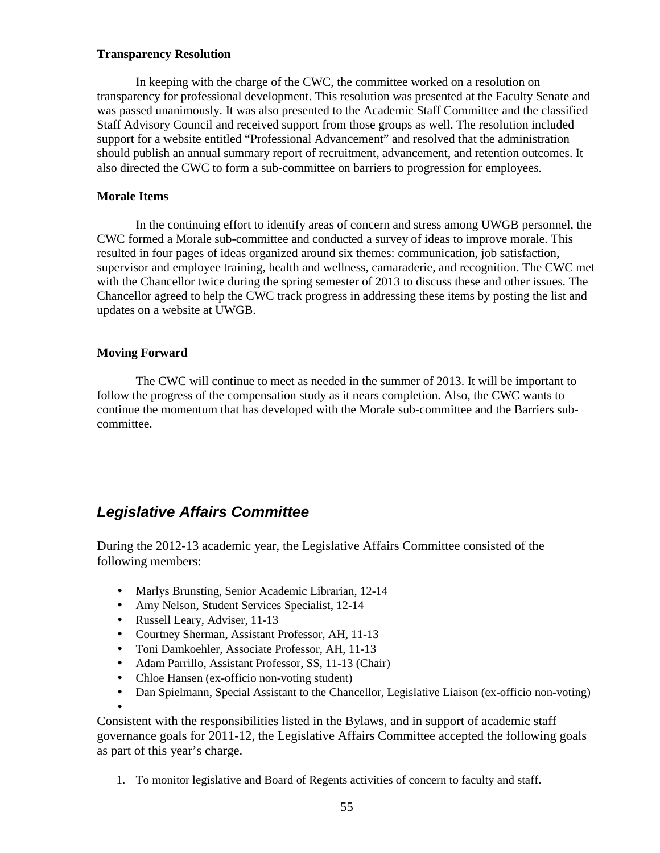#### **Transparency Resolution**

In keeping with the charge of the CWC, the committee worked on a resolution on transparency for professional development. This resolution was presented at the Faculty Senate and was passed unanimously. It was also presented to the Academic Staff Committee and the classified Staff Advisory Council and received support from those groups as well. The resolution included support for a website entitled "Professional Advancement" and resolved that the administration should publish an annual summary report of recruitment, advancement, and retention outcomes. It also directed the CWC to form a sub-committee on barriers to progression for employees.

#### **Morale Items**

In the continuing effort to identify areas of concern and stress among UWGB personnel, the CWC formed a Morale sub-committee and conducted a survey of ideas to improve morale. This resulted in four pages of ideas organized around six themes: communication, job satisfaction, supervisor and employee training, health and wellness, camaraderie, and recognition. The CWC met with the Chancellor twice during the spring semester of 2013 to discuss these and other issues. The Chancellor agreed to help the CWC track progress in addressing these items by posting the list and updates on a website at UWGB.

#### **Moving Forward**

•

The CWC will continue to meet as needed in the summer of 2013. It will be important to follow the progress of the compensation study as it nears completion. Also, the CWC wants to continue the momentum that has developed with the Morale sub-committee and the Barriers subcommittee.

### <span id="page-54-0"></span>*Legislative Affairs Committee*

During the 2012-13 academic year, the Legislative Affairs Committee consisted of the following members:

- Marlys Brunsting, Senior Academic Librarian, 12-14
- Amy Nelson, Student Services Specialist, 12-14
- Russell Leary, Adviser, 11-13
- Courtney Sherman, Assistant Professor, AH, 11-13
- Toni Damkoehler, Associate Professor, AH, 11-13
- Adam Parrillo, Assistant Professor, SS, 11-13 (Chair)
- Chloe Hansen (ex-officio non-voting student)
- Dan Spielmann, Special Assistant to the Chancellor, Legislative Liaison (ex-officio non-voting)

Consistent with the responsibilities listed in the Bylaws, and in support of academic staff governance goals for 2011-12, the Legislative Affairs Committee accepted the following goals as part of this year's charge.

1. To monitor legislative and Board of Regents activities of concern to faculty and staff.